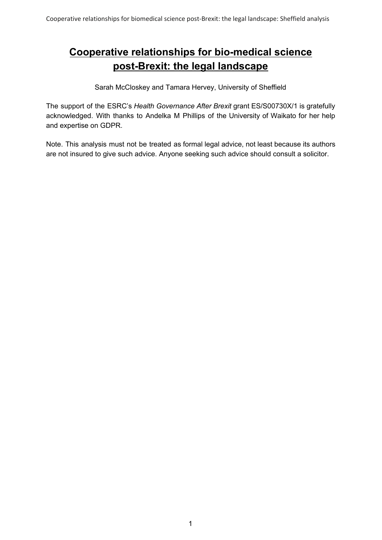# **Cooperative relationships for bio-medical science post-Brexit: the legal landscape**

Sarah McCloskey and Tamara Hervey, University of Sheffield

The support of the ESRC's *Health Governance After Brexit* grant ES/S00730X/1 is gratefully acknowledged. With thanks to Andelka M Phillips of the University of Waikato for her help and expertise on GDPR.

Note. This analysis must not be treated as formal legal advice, not least because its authors are not insured to give such advice. Anyone seeking such advice should consult a solicitor.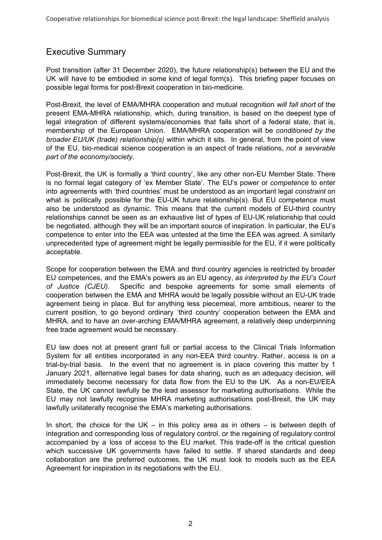# Executive Summary

Post transition (after 31 December 2020), the future relationship(s) between the EU and the UK will have to be embodied in some kind of legal form(s). This briefing paper focuses on possible legal forms for post-Brexit cooperation in bio-medicine.

Post-Brexit, the level of EMA/MHRA cooperation and mutual recognition *will fall short* of the present EMA-MHRA relationship, which, during transition, is based on the deepest type of legal integration of different systems/economies that falls short of a federal state, that is, membership of the European Union. EMA/MHRA cooperation will be *conditioned by the broader EU/UK (trade) relationship(s)* within which it sits. In general, from the point of view of the EU, bio-medical science cooperation is an aspect of trade relations, *not a severable part of the economy/society*.

Post-Brexit, the UK is formally a 'third country', like any other non-EU Member State. There is no formal legal category of 'ex Member State'. The EU's power or *competence* to enter into agreements with 'third countries' must be understood as an important legal *constraint* on what is politically possible for the EU-UK future relationship(s). But EU competence must also be understood as *dynamic*. This means that the current models of EU-third country relationships cannot be seen as an exhaustive list of types of EU-UK relationship that could be negotiated, although they will be an important source of inspiration. In particular, the EU's competence to enter into the EEA was untested at the time the EEA was agreed. A similarly unprecedented type of agreement might be legally permissible for the EU, if it were politically acceptable.

Scope for cooperation between the EMA and third country agencies is restricted by broader EU competences, and the EMA's powers as an EU agency, *as interpreted by the EU's Court of Justice (CJEU)*. Specific and bespoke agreements for some small elements of cooperation between the EMA and MHRA would be legally possible without an EU-UK trade agreement being in place. But for anything less piecemeal, more ambitious, nearer to the current position, to go beyond ordinary 'third country' cooperation between the EMA and MHRA, and to have an over-arching EMA/MHRA agreement, a relatively deep underpinning free trade agreement would be necessary.

EU law does not at present grant full or partial access to the Clinical Trials Information System for all entities incorporated in any non-EEA third country. Rather, access is on a trial-by-trial basis. In the event that no agreement is in place covering this matter by 1 January 2021, alternative legal bases for data sharing, such as an adequacy decision, will immediately become necessary for data flow from the EU to the UK. As a non-EU/EEA State, the UK cannot lawfully be the lead assessor for marketing authorisations. While the EU may not lawfully recognise MHRA marketing authorisations post-Brexit, the UK may lawfully unilaterally recognise the EMA's marketing authorisations.

In short, the choice for the UK – in this policy area as in others – is between depth of integration and corresponding loss of regulatory control, or the regaining of regulatory control accompanied by a loss of access to the EU market. This trade-off is the critical question which successive UK governments have failed to settle. If shared standards and deep collaboration are the preferred outcomes, the UK must look to models such as the EEA Agreement for inspiration in its negotiations with the EU.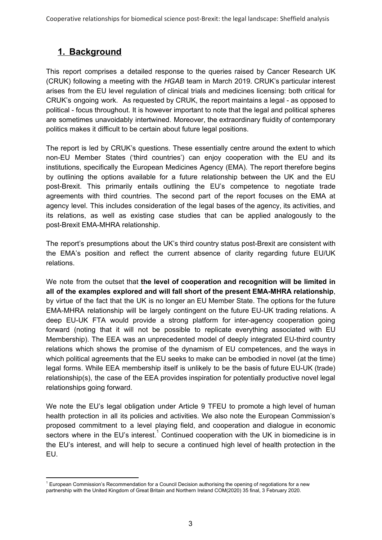# **1. Background**

This report comprises a detailed response to the queries raised by Cancer Research UK (CRUK) following a meeting with the *HGAB* team in March 2019. CRUK's particular interest arises from the EU level regulation of clinical trials and medicines licensing: both critical for CRUK's ongoing work. As requested by CRUK, the report maintains a legal - as opposed to political - focus throughout. It is however important to note that the legal and political spheres are sometimes unavoidably intertwined. Moreover, the extraordinary fluidity of contemporary politics makes it difficult to be certain about future legal positions.

The report is led by CRUK's questions. These essentially centre around the extent to which non-EU Member States ('third countries') can enjoy cooperation with the EU and its institutions, specifically the European Medicines Agency (EMA). The report therefore begins by outlining the options available for a future relationship between the UK and the EU post-Brexit. This primarily entails outlining the EU's competence to negotiate trade agreements with third countries. The second part of the report focuses on the EMA at agency level. This includes consideration of the legal bases of the agency, its activities, and its relations, as well as existing case studies that can be applied analogously to the post-Brexit EMA-MHRA relationship.

The report's presumptions about the UK's third country status post-Brexit are consistent with the EMA's position and reflect the current absence of clarity regarding future EU/UK relations.

We note from the outset that **the level of cooperation and recognition will be limited in all of the examples explored and will fall short of the present EMA-MHRA relationship**, by virtue of the fact that the UK is no longer an EU Member State. The options for the future EMA-MHRA relationship will be largely contingent on the future EU-UK trading relations. A deep EU-UK FTA would provide a strong platform for inter-agency cooperation going forward (noting that it will not be possible to replicate everything associated with EU Membership). The EEA was an unprecedented model of deeply integrated EU-third country relations which shows the promise of the dynamism of EU competences, and the ways in which political agreements that the EU seeks to make can be embodied in novel (at the time) legal forms. While EEA membership itself is unlikely to be the basis of future EU-UK (trade) relationship(s), the case of the EEA provides inspiration for potentially productive novel legal relationships going forward.

We note the EU's legal obligation under Article 9 TFEU to promote a high level of human health protection in all its policies and activities. We also note the European Commission's proposed commitment to a level playing field, and cooperation and dialogue in economic sectors where in the EU's interest.<sup>1</sup> Continued cooperation with the UK in biomedicine is in the EU's interest, and will help to secure a continued high level of health protection in the EU.

<sup>1</sup> European Commission's Recommendation for a Council Decision authorising the opening of negotiations for a new partnership with the United Kingdom of Great Britain and Northern Ireland COM(2020) 35 final, 3 February 2020.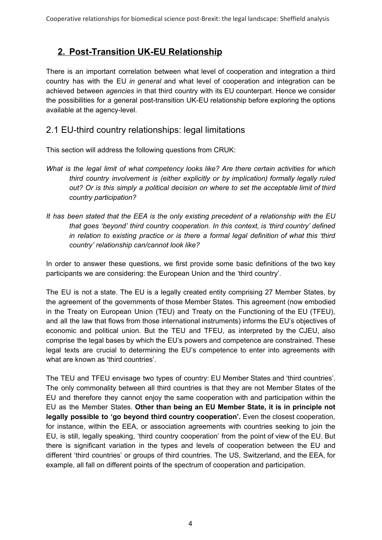# **2. Post-Transition UK-EU Relationship**

There is an important correlation between what level of cooperation and integration a third country has with the EU *in general* and what level of cooperation and integration can be achieved between *agencies* in that third country with its EU counterpart. Hence we consider the possibilities for a general post-transition UK-EU relationship before exploring the options available at the agency-level.

#### 2.1 EU-third country relationships: legal limitations

This section will address the following questions from CRUK:

- *What is the legal limit of what competency looks like? Are there certain activities for which third country involvement is (either explicitly or by implication) formally legally ruled out? Or is this simply a political decision on where to set the acceptable limit of third country participation?*
- *It has been stated that the EEA is the only existing precedent of a relationship with the EU that goes 'beyond' third country cooperation. In this context, is 'third country' defined in relation to existing practice or is there a formal legal definition of what this 'third country' relationship can/cannot look like?*

In order to answer these questions, we first provide some basic definitions of the two key participants we are considering: the European Union and the 'third country'.

The EU is not a state. The EU is a legally created entity comprising 27 Member States, by the agreement of the governments of those Member States. This agreement (now embodied in the Treaty on European Union (TEU) and Treaty on the Functioning of the EU (TFEU), and all the law that flows from those international instruments) informs the EU's objectives of economic and political union. But the TEU and TFEU, as interpreted by the CJEU, also comprise the legal bases by which the EU's powers and competence are constrained. These legal texts are crucial to determining the EU's competence to enter into agreements with what are known as 'third countries'.

The TEU and TFEU envisage two types of country: EU Member States and 'third countries'. The only commonality between all third countries is that they are not Member States of the EU and therefore they cannot enjoy the same cooperation with and participation within the EU as the Member States. **Other than being an EU Member State, it is in principle not legally possible to 'go beyond third country cooperation'***.* Even the closest cooperation, for instance, within the EEA, or association agreements with countries seeking to join the EU, is still, legally speaking, 'third country cooperation' from the point of view of the EU. But there is significant variation in the types and levels of cooperation between the EU and different 'third countries' or groups of third countries. The US, Switzerland, and the EEA, for example, all fall on different points of the spectrum of cooperation and participation.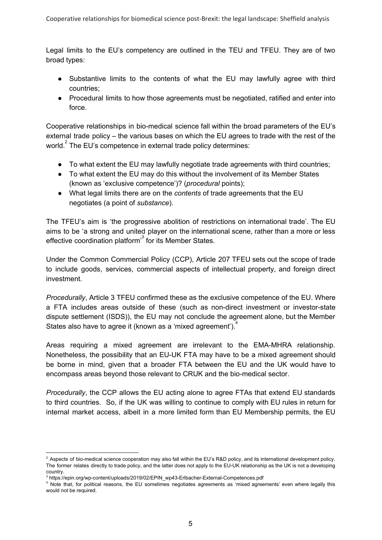Legal limits to the EU's competency are outlined in the TEU and TFEU. They are of two broad types:

- Substantive limits to the contents of what the EU may lawfully agree with third countries;
- Procedural limits to how those agreements must be negotiated, ratified and enter into force.

Cooperative relationships in bio-medical science fall within the broad parameters of the EU's external trade policy – the various bases on which the EU agrees to trade with the rest of the world. $^{2}$  The EU's competence in external trade policy determines:

- To what extent the EU may lawfully negotiate trade agreements with third countries;
- To what extent the EU may do this without the involvement of its Member States (known as 'exclusive competence')? (*procedural* points);
- What legal limits there are on the *contents* of trade agreements that the EU negotiates (a point of *substance*).

The TFEU's aim is 'the progressive abolition of restrictions on international trade'. The EU aims to be 'a strong and united player on the international scene, rather than a more or less effective coordination platform<sup>3</sup> for its Member States.

Under the Common Commercial Policy (CCP), Article 207 TFEU sets out the scope of trade to include goods, services, commercial aspects of intellectual property, and foreign direct investment.

*Procedurally*, Article 3 TFEU confirmed these as the exclusive competence of the EU. Where a FTA includes areas outside of these (such as non-direct investment or investor-state dispute settlement (ISDS)), the EU may not conclude the agreement alone, but the Member States also have to agree it (known as a 'mixed agreement').

Areas requiring a mixed agreement are irrelevant to the EMA-MHRA relationship. Nonetheless, the possibility that an EU-UK FTA may have to be a mixed agreement should be borne in mind, given that a broader FTA between the EU and the UK would have to encompass areas beyond those relevant to CRUK and the bio-medical sector.

*Procedurally*, the CCP allows the EU acting alone to agree FTAs that extend EU standards to third countries. So, if the UK was willing to continue to comply with EU rules in return for internal market access, albeit in a more limited form than EU Membership permits, the EU

<sup>&</sup>lt;sup>2</sup> Aspects of bio-medical science cooperation may also fall within the EU's R&D policy, and its international development policy. The former relates directly to trade policy, and the latter does not apply to the EU-UK relationship as the UK is not a developing country.

<sup>3</sup> https://epin.org/wp-content/uploads/2019/02/EPIN\_wp43-Erlbacher-External-Competences.pdf

<sup>4</sup> Note that, for political reasons, the EU sometimes negotiates agreements as 'mixed agreements' even where legally this would not be required.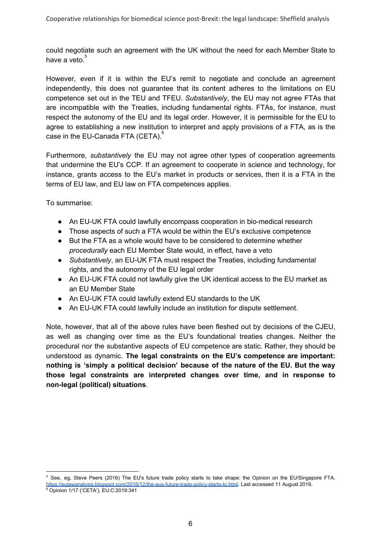could negotiate such an agreement with the UK without the need for each Member State to have a veto.<sup>5</sup>

However, even if it is within the EU's remit to negotiate and conclude an agreement independently, this does not guarantee that its content adheres to the limitations on EU competence set out in the TEU and TFEU. *Substantively*, the EU may not agree FTAs that are incompatible with the Treaties, including fundamental rights. FTAs, for instance, must respect the autonomy of the EU and its legal order. However, it is permissible for the EU to agree to establishing a new institution to interpret and apply provisions of a FTA, as is the case in the EU-Canada FTA (CETA). $^6$ 

Furthermore, *substantively* the EU may not agree other types of cooperation agreements that undermine the EU's CCP. If an agreement to cooperate in science and technology, for instance, grants access to the EU's market in products or services, then it is a FTA in the terms of EU law, and EU law on FTA competences applies.

To summarise:

- An EU-UK FTA could lawfully encompass cooperation in bio-medical research
- Those aspects of such a FTA would be within the EU's exclusive competence
- But the FTA as a whole would have to be considered to determine whether *procedurally* each EU Member State would, in effect, have a veto
- *Substantively*, an EU-UK FTA must respect the Treaties, including fundamental rights, and the autonomy of the EU legal order
- An EU-UK FTA could not lawfully give the UK identical access to the EU market as an EU Member State
- An EU-UK FTA could lawfully extend EU standards to the UK
- An EU-UK FTA could lawfully include an institution for dispute settlement.

Note, however, that all of the above rules have been fleshed out by decisions of the CJEU, as well as changing over time as the EU's foundational treaties changes. Neither the procedural nor the substantive aspects of EU competence are static. Rather, they should be understood as dynamic. **The legal constraints on the EU's competence are important: nothing is 'simply a political decision' because of the nature of the EU. But the way those legal constraints are interpreted changes over time, and in response to non-legal (political) situations**.

<sup>&</sup>lt;sup>5</sup> See, eg, Steve Peers (2016) The EU's future trade policy starts to take shape: the Opinion on the EU/Singapore FTA. [https://eulawanalysis.blogspot.com/2016/12/the-eus-future-trade-policy-starts-to.html.](https://eulawanalysis.blogspot.com/2016/12/the-eus-future-trade-policy-starts-to.html) Last accessed 11 August 2019.

<sup>6</sup> Opinion 1/17 ('CETA'), EU:C:2019:341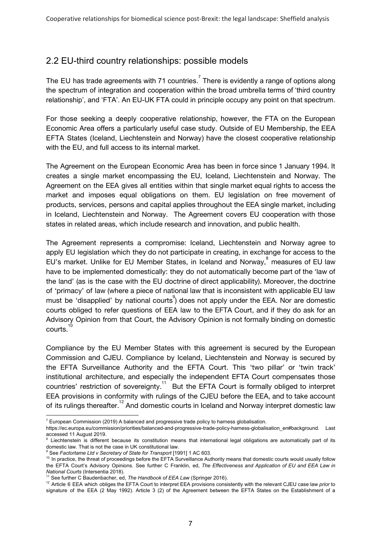# 2.2 EU-third country relationships: possible models

The EU has trade agreements with 71 countries.<sup>7</sup> There is evidently a range of options along the spectrum of integration and cooperation within the broad umbrella terms of 'third country relationship', and 'FTA'. An EU-UK FTA could in principle occupy any point on that spectrum.

For those seeking a deeply cooperative relationship, however, the FTA on the European Economic Area offers a particularly useful case study. Outside of EU Membership, the EEA EFTA States (Iceland, Liechtenstein and Norway) have the closest cooperative relationship with the EU, and full access to its internal market.

The Agreement on the European Economic Area has been in force since 1 January 1994. It creates a single market encompassing the EU, Iceland, Liechtenstein and Norway. The Agreement on the EEA gives all entities within that single market equal rights to access the market and imposes equal obligations on them. EU legislation on free movement of products, services, persons and capital applies throughout the EEA single market, including in Iceland, Liechtenstein and Norway. The Agreement covers EU cooperation with those states in related areas, which include research and innovation, and public health.

The Agreement represents a compromise: Iceland, Liechtenstein and Norway agree to apply EU legislation which they do not participate in creating, in exchange for access to the EU's market. Unlike for EU Member States, in Iceland and Norway,  $\degree$  measures of EU law have to be implemented domestically: they do not automatically become part of the 'law of the land' (as is the case with the EU doctrine of direct applicability). Moreover, the doctrine of 'primacy' of law (where a piece of national law that is inconsistent with applicable EU law must be 'disapplied' by national courts<sup>9</sup>) does not apply under the EEA. Nor are domestic courts obliged to refer questions of EEA law to the EFTA Court, and if they do ask for an Advisory Opinion from that Court, the Advisory Opinion is not formally binding on domestic courts. 10

Compliance by the EU Member States with this agreement is secured by the European Commission and CJEU. Compliance by Iceland, Liechtenstein and Norway is secured by the EFTA Surveillance Authority and the EFTA Court. This 'two pillar' or 'twin track' institutional architecture, and especially the independent EFTA Court compensates those countries' restriction of sovereignty.<sup>11</sup> But the EFTA Court is formally obliged to interpret EEA provisions in conformity with rulings of the CJEU before the EEA, and to take account of its rulings thereafter.<sup>12</sup> And domestic courts in Iceland and Norway interpret domestic law

 $7$  European Commission (2019) A balanced and progressive trade policy to harness globalisation.

[https://ec.europa.eu/commission/priorities/balanced-and-progressive-trade-policy-harness-globalisation\\_en#background](https://ec.europa.eu/commission/priorities/balanced-and-progressive-trade-policy-harness-globalisation_en#background). Last accessed 11 August 2019.

Liechtenstein is different because its constitution means that international legal obligations are automatically part of its domestic law. That is not the case in UK constitutional law.

<sup>9</sup> See *Factortame Ltd v Secretary of State for Transport* [1991] 1 AC 603.

<sup>&</sup>lt;sup>10</sup> In practice, the threat of proceedings before the EFTA Surveillance Authority means that domestic courts would usually follow the EFTA Court's Advisory Opinions. See further C Franklin, ed, *The Effectiveness and Application of EU and EEA Law in National Courts* (Intersentia 2018).

<sup>11</sup> See further C Baudenbacher, ed, *The Handbook of EEA Law* (Springer 2016).

<sup>12</sup> Article 6 EEA which obliges the EFTA Court to interpret EEA provisions consistently with the relevant CJEU case law *prior* to signature of the EEA (2 May 1992). Article 3 (2) of the Agreement between the EFTA States on the Establishment of a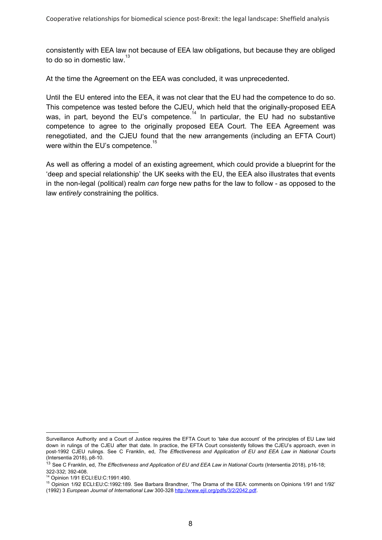consistently with EEA law not because of EEA law obligations, but because they are obliged to do so in domestic law. $^{\rm 13}$ 

At the time the Agreement on the EEA was concluded, it was unprecedented.

Until the EU entered into the EEA, it was not clear that the EU had the competence to do so. This competence was tested before the CJEU, which held that the originally-proposed EEA was, in part, beyond the EU's competence.<sup>14</sup> In particular, the EU had no substantive competence to agree to the originally proposed EEA Court. The EEA Agreement was renegotiated, and the CJEU found that the new arrangements (including an EFTA Court) were within the EU's competence.<sup>15</sup>

As well as offering a model of an existing agreement, which could provide a blueprint for the 'deep and special relationship' the UK seeks with the EU, the EEA also illustrates that events in the non-legal (political) realm *can* forge new paths for the law to follow - as opposed to the law *entirely* constraining the politics.

Surveillance Authority and a Court of Justice requires the EFTA Court to 'take due account' of the principles of EU Law laid down in rulings of the CJEU after that date. In practice, the EFTA Court consistently follows the CJEU's approach, even in post-1992 CJEU rulings. See C Franklin, ed, *The Effectiveness and Application of EU and EEA Law in National Courts* (Intersentia 2018), p8-10.

<sup>13</sup> See C Franklin, ed, *The Effectiveness and Application of EU and EEA Law in National Courts* (Intersentia 2018), p16-18; 322-332; 392-408.

<sup>14</sup> Opinion 1/91 ECLI:EU:C:1991:490.

<sup>15</sup> Opinion 1/92 ECLI:EU:C:1992:189. See Barbara Brandtner, 'The Drama of the EEA: comments on Opinions 1/91 and 1/92' (1992) 3 *European Journal of International Law* 300-328 <http://www.ejil.org/pdfs/3/2/2042.pdf>.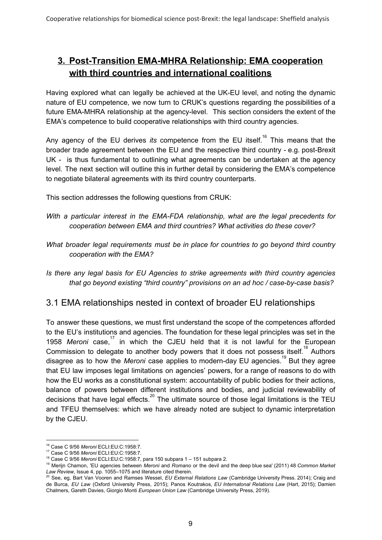# **3. Post-Transition EMA-MHRA Relationship: EMA cooperation with third countries and international coalitions**

Having explored what can legally be achieved at the UK-EU level, and noting the dynamic nature of EU competence, we now turn to CRUK's questions regarding the possibilities of a future EMA-MHRA relationship at the agency-level. This section considers the extent of the EMA's competence to build cooperative relationships with third country agencies.

Any agency of the EU derives *its* competence from the EU itself.<sup>16</sup> This means that the broader trade agreement between the EU and the respective third country - e.g. post-Brexit UK - is thus fundamental to outlining what agreements can be undertaken at the agency level. The next section will outline this in further detail by considering the EMA's competence to negotiate bilateral agreements with its third country counterparts.

This section addresses the following questions from CRUK:

- *With a particular interest in the EMA-FDA relationship, what are the legal precedents for cooperation between EMA and third countries? What activities do these cover?*
- *What broader legal requirements must be in place for countries to go beyond third country cooperation with the EMA?*
- *Is there any legal basis for EU Agencies to strike agreements with third country agencies that go beyond existing "third country" provisions on an ad hoc / case-by-case basis?*

#### 3.1 EMA relationships nested in context of broader EU relationships

To answer these questions, we must first understand the scope of the competences afforded to the EU's institutions and agencies. The foundation for these legal principles was set in the 1958 Meroni case,<sup>17</sup> in which the CJEU held that it is not lawful for the European Commission to delegate to another body powers that it does not possess itself.<sup>18</sup> Authors disagree as to how the *Meroni* case applies to modern-day EU agencies.<sup>19</sup> But they agree that EU law imposes legal limitations on agencies' powers, for a range of reasons to do with how the EU works as a constitutional system: accountability of public bodies for their actions, balance of powers between different institutions and bodies, and judicial reviewability of decisions that have legal effects. $^{20}$  The ultimate source of those legal limitations is the TEU and TFEU themselves: which we have already noted are subject to dynamic interpretation by the CJEU.

<sup>16</sup> Case C 9/56 *Meroni* ECLI:EU:C:1958:7.

<sup>17</sup> Case C 9/56 *Meroni* ECLI:EU:C:1958:7.

<sup>18</sup> Case C 9/56 *Meroni* ECLI:EU:C:1958:7, para 150 subpara 1 – 151 subpara 2.

<sup>19</sup> Merijn Chamon, 'EU agencies between *Meroni* and *Romano* or the devil and the deep blue sea' (2011) 48 *Common Market Law Review*, Issue 4, pp. 1055–1075 and literature cited therein.

<sup>20</sup> See, eg, Bart Van Vooren and Ramses Wessel, *EU External Relations Law* (Cambridge University Press. 2014); Craig and de Burca, *EU Law* (Oxford University Press, 2015); Panos Koutrakos, *EU Internatonal Relations Law* (Hart, 2015); Damien Chalmers, Gareth Davies, Giorgio Monti *European Union Law* (Cambridge University Press, 2019).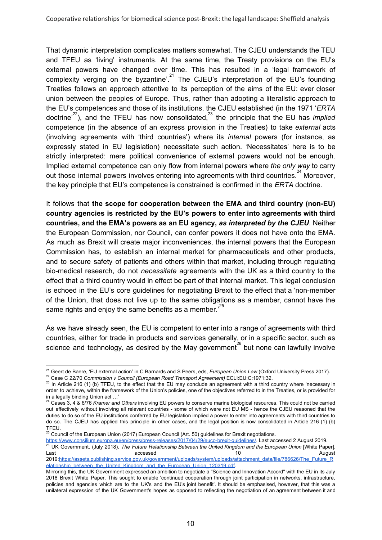That dynamic interpretation complicates matters somewhat. The CJEU understands the TEU and TFEU as 'living' instruments. At the same time, the Treaty provisions on the EU's external powers have changed over time. This has resulted in a 'legal framework of complexity verging on the byzantine'.<sup>21</sup> The CJEU's interpretation of the EU's founding Treaties follows an approach attentive to its perception of the aims of the EU: ever closer union between the peoples of Europe. Thus, rather than adopting a literalistic approach to the EU's competences and those of its institutions, the CJEU established (in the 1971 '*ERTA* doctrine<sup>,22</sup>), and the TFEU has now consolidated,<sup>23</sup> the principle that the EU has *implied* competence (in the absence of an express provision in the Treaties) to take *external* acts (involving agreements with 'third countries') where its *internal* powers (for instance, as expressly stated in EU legislation) necessitate such action. 'Necessitates' here is to be strictly interpreted: mere political convenience of external powers would not be enough. Implied external competence can only flow from internal powers where *the only way* to carry out those internal powers involves entering into agreements with third countries.<sup>24</sup> Moreover, the key principle that EU's competence is constrained is confirmed in the *ERTA* doctrine.

It follows that **the scope for cooperation between the EMA and third country (non-EU) country agencies is restricted by the EU's powers to enter into agreements with third countries, and the EMA's powers as an EU agency,** *as interpreted by the CJEU*. Neither the European Commission, nor Council, can confer powers it does not have onto the EMA. As much as Brexit will create major inconveniences, the internal powers that the European Commission has, to establish an internal market for pharmaceuticals and other products, and to secure safety of patients and others within that market, including through regulating bio-medical research, do not *necessitate* agreements with the UK as a third country to the effect that a third country would in effect be part of that internal market. This legal conclusion is echoed in the EU's core guidelines for negotiating Brexit to the effect that a 'non-member of the Union, that does not live up to the same obligations as a member, cannot have the same rights and enjoy the same benefits as a member.<sup>25</sup>

As we have already seen, the EU is competent to enter into a range of agreements with third countries, either for trade in products and services generally, or in a specific sector, such as science and technology, as desired by the May government<sup>26</sup> but none can lawfully involve

<sup>21</sup> Geert de Baere, 'EU external action' in C Barnards and S Peers, eds, *European Union Law* (Oxford University Press 2017). <sup>22</sup> Case C 22/70 *Commission v Council (European Road Transport Agreement)* ECLI:EU:C:1971:32.

 $23$  In Article 216 (1) (b) TFEU, to the effect that the EU may conclude an agreement with a third country where 'necessary in order to achieve, within the framework of the Union's policies, one of the objectives referred to in the Treaties, or is provided for in a legally binding Union act …'

<sup>&</sup>lt;sup>24</sup> Cases 3, 4 & 6/76 *Kramer and Others* involving EU powers to conserve marine biological resources. This could not be carried out effectively without involving all relevant countries - some of which were not EU MS - hence the CJEU reasoned that the duties to do so of the EU institutions conferred by EU legislation implied a power to enter into agreements with third countries to do so. The CJEU has applied this principle in other cases, and the legal position is now consolidated in Article 216 (1) (b) TFEU.

 $25$  Council of the European Union (2017) European Council (Art. 50) guidelines for Brexit negotiations.

[https://www.consilium.europa.eu/en/press/press-releases/2017/04/29/euco-brexit-guidelines/.](https://www.consilium.europa.eu/en/press/press-releases/2017/04/29/euco-brexit-guidelines/) Last accessed 2 August 2019. <sup>26</sup> UK Government. (July 2018). *The Future Relationship Between the United Kingdom and the European Union* [White Paper]. Last and the contract of the contract of the contract of the contract of the contract of the contract of the contract of the contract of the contract of the contract of the contract of the contract of the contract of the c 2019[:https://assets.publishing.service.gov.uk/government/uploads/system/uploads/attachment\\_data/file/786626/The\\_Future\\_R](https://assets.publishing.service.gov.uk/government/uploads/system/uploads/attachment_data/file/786626/The_Future_Relationship_between_the_United_Kingdom_and_the_European_Union_120319.pdf) [elationship\\_between\\_the\\_United\\_Kingdom\\_and\\_the\\_European\\_Union\\_120319.pdf](https://assets.publishing.service.gov.uk/government/uploads/system/uploads/attachment_data/file/786626/The_Future_Relationship_between_the_United_Kingdom_and_the_European_Union_120319.pdf).

Mirroring this, the UK Government expressed an ambition to negotiate a "Science and Innovation Accord" with the EU in its July 2018 Brexit White Paper. This sought to enable 'continued cooperation through joint participation in networks, infrastructure, policies and agencies which are to the UK's and the EU's joint benefit'. It should be emphasised, however, that this was a unilateral expression of the UK Government's hopes as opposed to reflecting the negotiation of an agreement between it and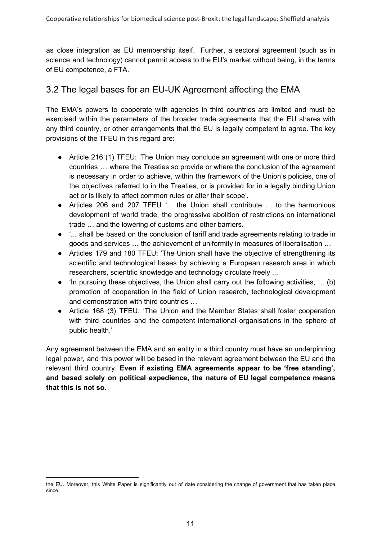as close integration as EU membership itself. Further, a sectoral agreement (such as in science and technology) cannot permit access to the EU's market without being, in the terms of EU competence, a FTA.

### 3.2 The legal bases for an EU-UK Agreement affecting the EMA

The EMA's powers to cooperate with agencies in third countries are limited and must be exercised within the parameters of the broader trade agreements that the EU shares with any third country, or other arrangements that the EU is legally competent to agree. The key provisions of the TFEU in this regard are:

- Article 216 (1) TFEU: 'The Union may conclude an agreement with one or more third countries … where the Treaties so provide or where the conclusion of the agreement is necessary in order to achieve, within the framework of the Union's policies, one of the objectives referred to in the Treaties, or is provided for in a legally binding Union act or is likely to affect common rules or alter their scope'.
- Articles 206 and 207 TFEU '... the Union shall contribute … to the harmonious development of world trade, the progressive abolition of restrictions on international trade … and the lowering of customs and other barriers.
- '... shall be based on the conclusion of tariff and trade agreements relating to trade in goods and services … the achievement of uniformity in measures of liberalisation …'
- Articles 179 and 180 TFEU: 'The Union shall have the objective of strengthening its scientific and technological bases by achieving a European research area in which researchers, scientific knowledge and technology circulate freely ...
- 'In pursuing these objectives, the Union shall carry out the following activities, … (b) promotion of cooperation in the field of Union research, technological development and demonstration with third countries …'
- Article 168 (3) TFEU: 'The Union and the Member States shall foster cooperation with third countries and the competent international organisations in the sphere of public health.'

Any agreement between the EMA and an entity in a third country must have an underpinning legal power, and this power will be based in the relevant agreement between the EU and the relevant third country. **Even if existing EMA agreements appear to be 'free standing', and based solely on political expedience, the nature of EU legal competence means that this is not so.**

the EU. Moreover, this White Paper is significantly out of date considering the change of government that has taken place since.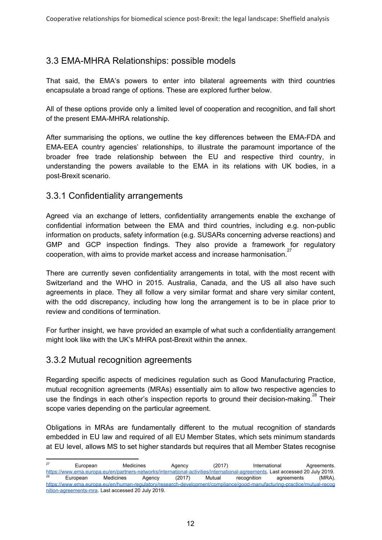### 3.3 EMA-MHRA Relationships: possible models

That said, the EMA's powers to enter into bilateral agreements with third countries encapsulate a broad range of options. These are explored further below.

All of these options provide only a limited level of cooperation and recognition, and fall short of the present EMA-MHRA relationship.

After summarising the options, we outline the key differences between the EMA-FDA and EMA-EEA country agencies' relationships, to illustrate the paramount importance of the broader free trade relationship between the EU and respective third country, in understanding the powers available to the EMA in its relations with UK bodies, in a post-Brexit scenario.

#### 3.3.1 Confidentiality arrangements

Agreed via an exchange of letters, confidentiality arrangements enable the exchange of confidential information between the EMA and third countries, including e.g. non-public information on products, safety information (e.g. SUSARs concerning adverse reactions) and GMP and GCP inspection findings. They also provide a framework for regulatory cooperation, with aims to provide market access and increase harmonisation. 27

There are currently seven confidentiality arrangements in total, with the most recent with Switzerland and the WHO in 2015. Australia, Canada, and the US all also have such agreements in place. They all follow a very similar format and share very similar content, with the odd discrepancy, including how long the arrangement is to be in place prior to review and conditions of termination.

For further insight, we have provided an example of what such a confidentiality arrangement might look like with the UK's MHRA post-Brexit within the annex.

#### 3.3.2 Mutual recognition agreements

Regarding specific aspects of medicines regulation such as Good Manufacturing Practice, mutual recognition agreements (MRAs) essentially aim to allow two respective agencies to use the findings in each other's inspection reports to ground their decision-making.<sup>28</sup> Their scope varies depending on the particular agreement.

Obligations in MRAs are fundamentally different to the mutual recognition of standards embedded in EU law and required of all EU Member States, which sets minimum standards at EU level, allows MS to set higher standards but requires that all Member States recognise

<sup>&</sup>lt;sup>27</sup> European Medicines Agency (2017) International Agreements. [https://www.ema.europa.eu/en/partners-networks/international-activities/international-agreements.](https://www.ema.europa.eu/en/partners-networks/international-activities/international-agreements) Last accessed 20 July 2019.  $^{28}$  European Medicines Agency (2017) Mutual recognition agreements (MRA). [https://www.ema.europa.eu/en/human-regulatory/research-development/compliance/good-manufacturing-practice/mutual-recog](https://www.ema.europa.eu/en/human-regulatory/research-development/compliance/good-manufacturing-practice/mutual-recognition-agreements-mra) [nition-agreements-mra](https://www.ema.europa.eu/en/human-regulatory/research-development/compliance/good-manufacturing-practice/mutual-recognition-agreements-mra). Last accessed 20 July 2019.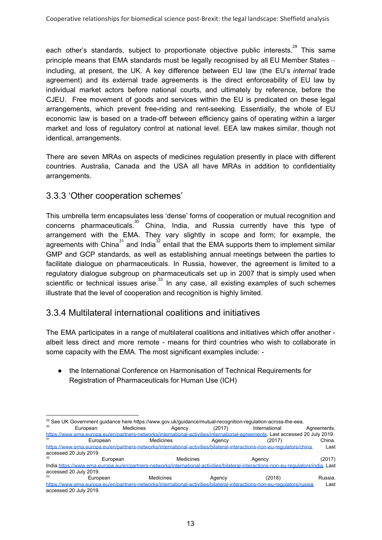each other's standards, subject to proportionate objective public interests.<sup>29</sup> This same principle means that EMA standards must be legally recognised by all EU Member States – including, at present, the UK. A key difference between EU law (the EU's *internal* trade agreement) and its external trade agreements is the direct enforceability of EU law by individual market actors before national courts, and ultimately by reference, before the CJEU. Free movement of goods and services within the EU is predicated on these legal arrangements, which prevent free-riding and rent-seeking. Essentially, the whole of EU economic law is based on a trade-off between efficiency gains of operating within a larger market and loss of regulatory control at national level. EEA law makes similar, though not identical, arrangements.

There are seven MRAs on aspects of medicines regulation presently in place with different countries. Australia, Canada and the USA all have MRAs in addition to confidentiality arrangements.

#### 3.3.3 'Other cooperation schemes'

This umbrella term encapsulates less 'dense' forms of cooperation or mutual recognition and concerns pharmaceuticals. $^{30}$  China, India, and Russia currently have this type of arrangement with the EMA. They vary slightly in scope and form; for example, the agreements with China<sup>31</sup> and India<sup>32</sup> entail that the EMA supports them to implement similar GMP and GCP standards, as well as establishing annual meetings between the parties to facilitate dialogue on pharmaceuticals. In Russia, however, the agreement is limited to a regulatory dialogue subgroup on pharmaceuticals set up in 2007 that is simply used when scientific or technical issues arise. $33$  In any case, all existing examples of such schemes illustrate that the level of cooperation and recognition is highly limited.

### 3.3.4 Multilateral international coalitions and initiatives

The EMA participates in a range of multilateral coalitions and initiatives which offer another albeit less direct and more remote - means for third countries who wish to collaborate in some capacity with the EMA. The most significant examples include: -

● the International Conference on Harmonisation of Technical Requirements for Registration of Pharmaceuticals for Human Use (ICH)

<sup>&</sup>lt;sup>29</sup> See UK Government guidance here https://www.gov.uk/guidance/mutual-recognition-regulation-across-the-eea. <sup>30</sup> European Medicines Agency (2017) International Agreements. [https://www.ema.europa.eu/en/partners-networks/international-activities/international-agreements.](https://www.ema.europa.eu/en/partners-networks/international-activities/international-agreements) Last accessed 20 July 2019. <sup>31</sup> European Medicines Agency (2017) China. [https://www.ema.europa.eu/en/partners-networks/international-activities/bilateral-interactions-non-eu-regulators/china.](https://www.ema.europa.eu/en/partners-networks/international-activities/bilateral-interactions-non-eu-regulators/china) accessed 20 July 2019. <sup>32</sup> European Medicines Agency (2017) India.<https://www.ema.europa.eu/en/partners-networks/international-activities/bilateral-interactions-non-eu-regulators/india>. Last accessed 20 July 2019. <sup>33</sup> European Medicines Agency (2018) Russia. <https://www.ema.europa.eu/en/partners-networks/international-activities/bilateral-interactions-non-eu-regulators/russia>. Last accessed 20 July 2019.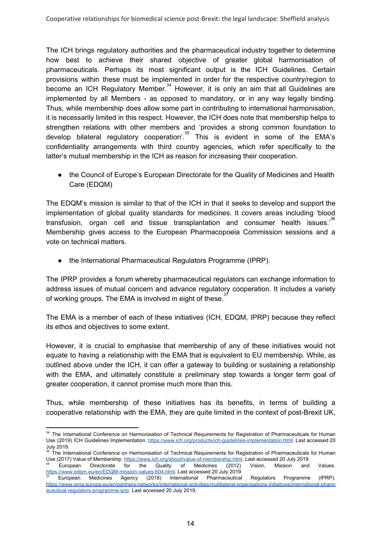The ICH brings regulatory authorities and the pharmaceutical industry together to determine how best to achieve their shared objective of greater global harmonisation of pharmaceuticals. Perhaps its most significant output is the ICH Guidelines. Certain provisions within these must be implemented in order for the respective country/region to become an ICH Regulatory Member. $34$  However, it is only an aim that all Guidelines are implemented by all Members - as opposed to mandatory, or in any way legally binding. Thus, while membership does allow some part in contributing to international harmonisation, it is necessarily limited in this respect. However, the ICH does note that membership helps to strengthen relations with other members and 'provides a strong common foundation to develop bilateral regulatory cooperation'.<sup>35</sup> This is evident in some of the EMA's confidentiality arrangements with third country agencies, which refer specifically to the latter's mutual membership in the ICH as reason for increasing their cooperation.

• the Council of Europe's European Directorate for the Quality of Medicines and Health Care (EDQM)

The EDQM's mission is similar to that of the ICH in that it seeks to develop and support the implementation of global quality standards for medicines. It covers areas including 'blood transfusion, organ cell and tissue transplantation and consumer health issues.<sup>36</sup> Membership gives access to the European Pharmacopoeia Commission sessions and a vote on technical matters.

● the International Pharmaceutical Regulators Programme (IPRP).

The IPRP provides a forum whereby pharmaceutical regulators can exchange information to address issues of mutual concern and advance regulatory cooperation. It includes a variety of working groups. The EMA is involved in eight of these.<sup>37</sup>

The EMA is a member of each of these initiatives (ICH, EDQM, IPRP) because they reflect its ethos and objectives to some extent.

However, it is crucial to emphasise that membership of any of these initiatives would not equate to having a relationship with the EMA that is equivalent to EU membership. While, as outlined above under the ICH, it can offer a gateway to building or sustaining a relationship with the EMA, and ultimately constitute a preliminary step towards a longer term goal of greater cooperation, it cannot promise much more than this.

Thus, while membership of these initiatives has its benefits, in terms of building a cooperative relationship with the EMA, they are quite limited in the context of post-Brexit UK,

<sup>&</sup>lt;sup>34</sup> The International Conference on Harmonisation of Technical Requirements for Registration of Pharmaceuticals for Human Use (2019) ICH Guidelines Implementation. <https://www.ich.org/products/ich-guidelines-implementation.html>. Last accessed 20 July 2019.

<sup>&</sup>lt;sup>35</sup> The International Conference on Harmonisation of Technical Requirements for Registration of Pharmaceuticals for Human Use (2017) Value of Membership. <https://www.ich.org/about/value-of-membership.html>. Last accessed 20 July 2019. European Directorate for the Quality of Medicines (2012) Vision, Mission and Values.

https://www.edam.eu/en/EDQM-mission-values-604.html. Last accessed 20 July 2019. <sup>37</sup> European Medicines Agency (2018) International Pharmaceutical Regulators Programme (IPRP). [https://www.ema.europa.eu/en/partners-networks/international-activities/multilateral-organisations-initiatives/international-pharm](https://www.ema.europa.eu/en/partners-networks/international-activities/multilateral-organisations-initiatives/international-pharmaceutical-regulators-programme-iprp)

[aceutical-regulators-programme-iprp](https://www.ema.europa.eu/en/partners-networks/international-activities/multilateral-organisations-initiatives/international-pharmaceutical-regulators-programme-iprp). Last accessed 20 July 2019.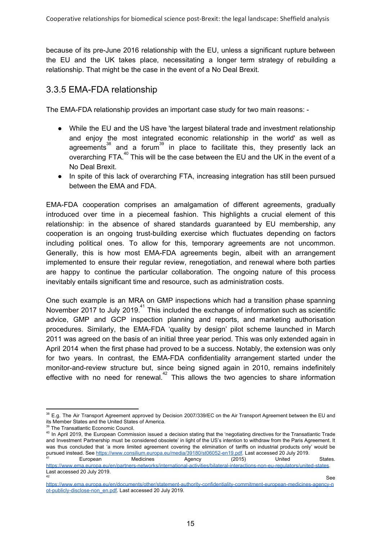because of its pre-June 2016 relationship with the EU, unless a significant rupture between the EU and the UK takes place, necessitating a longer term strategy of rebuilding a relationship. That might be the case in the event of a No Deal Brexit.

### 3.3.5 EMA-FDA relationship

The EMA-FDA relationship provides an important case study for two main reasons: -

- While the EU and the US have 'the largest bilateral trade and investment relationship and enjoy the most integrated economic relationship in the world' as well as agreements<sup>38</sup> and a forum<sup>39</sup> in place to facilitate this, they presently lack an overarching FTA. $40$  This will be the case between the EU and the UK in the event of a No Deal Brexit.
- In spite of this lack of overarching FTA, increasing integration has still been pursued between the EMA and FDA.

EMA-FDA cooperation comprises an amalgamation of different agreements, gradually introduced over time in a piecemeal fashion. This highlights a crucial element of this relationship: in the absence of shared standards guaranteed by EU membership, any cooperation is an ongoing trust-building exercise which fluctuates depending on factors including political ones. To allow for this, temporary agreements are not uncommon. Generally, this is how most EMA-FDA agreements begin, albeit with an arrangement implemented to ensure their regular review, renegotiation, and renewal where both parties are happy to continue the particular collaboration. The ongoing nature of this process inevitably entails significant time and resource, such as administration costs.

One such example is an MRA on GMP inspections which had a transition phase spanning November 2017 to July 2019. $41$  This included the exchange of information such as scientific advice, GMP and GCP inspection planning and reports, and marketing authorisation procedures. Similarly, the EMA-FDA 'quality by design' pilot scheme launched in March 2011 was agreed on the basis of an initial three year period. This was only extended again in April 2014 when the first phase had proved to be a success. Notably, the extension was only for two years. In contrast, the EMA-FDA confidentiality arrangement started under the monitor-and-review structure but, since being signed again in 2010, remains indefinitely effective with no need for renewal. $42$  This allows the two agencies to share information

<sup>38</sup> E.g. The Air Transport Agreement approved by Decision 2007/339/EC on the Air Transport Agreement between the EU and its Member States and the United States of America.

<sup>&</sup>lt;sup>39</sup> The Transatlantic Economic Council.

<sup>&</sup>lt;sup>40</sup> In April 2019, the European Commission issued a decision stating that the 'negotiating directives for the Transatlantic Trade and Investment Partnership must be considered obsolete' in light of the US's intention to withdraw from the Paris Agreement. It was thus concluded that 'a more limited agreement covering the elimination of tariffs on industrial products only' would be pursued instead. See [https://www.consilium.europa.eu/media/39180/st06052-en19.pdf.](https://www.consilium.europa.eu/media/39180/st06052-en19.pdf) Last accessed 20 July 2019.

<sup>&</sup>lt;sup>41</sup> European Medicines Agency (2015) United States. <https://www.ema.europa.eu/en/partners-networks/international-activities/bilateral-interactions-non-eu-regulators/united-states>. Last accessed 20 July 2019.  $\overline{42}$  See

[https://www.ema.europa.eu/en/documents/other/statement-authority-confidentiality-commitment-european-medicines-agency-n](https://www.ema.europa.eu/en/documents/other/statement-authority-confidentiality-commitment-european-medicines-agency-not-publicly-disclose-non_en.pdf) [ot-publicly-disclose-non\\_en.pdf](https://www.ema.europa.eu/en/documents/other/statement-authority-confidentiality-commitment-european-medicines-agency-not-publicly-disclose-non_en.pdf). Last accessed 20 July 2019.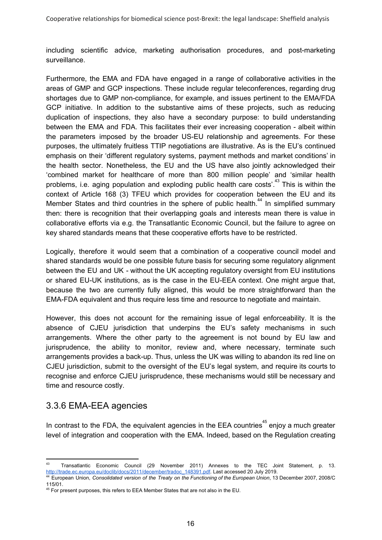including scientific advice, marketing authorisation procedures, and post-marketing surveillance.

Furthermore, the EMA and FDA have engaged in a range of collaborative activities in the areas of GMP and GCP inspections. These include regular teleconferences, regarding drug shortages due to GMP non-compliance, for example, and issues pertinent to the EMA/FDA GCP initiative. In addition to the substantive aims of these projects, such as reducing duplication of inspections, they also have a secondary purpose: to build understanding between the EMA and FDA. This facilitates their ever increasing cooperation - albeit within the parameters imposed by the broader US-EU relationship and agreements. For these purposes, the ultimately fruitless TTIP negotiations are illustrative. As is the EU's continued emphasis on their 'different regulatory systems, payment methods and market conditions' in the health sector. Nonetheless, the EU and the US have also jointly acknowledged their 'combined market for healthcare of more than 800 million people' and 'similar health problems, i.e. aging population and exploding public health care costs'.<sup>43</sup> This is within the context of Article 168 (3) TFEU which provides for cooperation between the EU and its Member States and third countries in the sphere of public health.<sup>44</sup> In simplified summary then: there is recognition that their overlapping goals and interests mean there is value in collaborative efforts via e.g. the Transatlantic Economic Council, but the failure to agree on key shared standards means that these cooperative efforts have to be restricted.

Logically, therefore it would seem that a combination of a cooperative council model and shared standards would be one possible future basis for securing some regulatory alignment between the EU and UK - without the UK accepting regulatory oversight from EU institutions or shared EU-UK institutions, as is the case in the EU-EEA context. One might argue that, because the two are currently fully aligned, this would be more straightforward than the EMA-FDA equivalent and thus require less time and resource to negotiate and maintain.

However, this does not account for the remaining issue of legal enforceability. It is the absence of CJEU jurisdiction that underpins the EU's safety mechanisms in such arrangements. Where the other party to the agreement is not bound by EU law and jurisprudence, the ability to monitor, review and, where necessary, terminate such arrangements provides a back-up. Thus, unless the UK was willing to abandon its red line on CJEU jurisdiction, submit to the oversight of the EU's legal system, and require its courts to recognise and enforce CJEU jurisprudence, these mechanisms would still be necessary and time and resource costly.

#### 3.3.6 EMA-EEA agencies

In contrast to the FDA, the equivalent agencies in the EEA countries<sup>45</sup> enjoy a much greater level of integration and cooperation with the EMA. Indeed, based on the Regulation creating

<sup>43</sup> Transatlantic Economic Council (29 November 2011) Annexes to the TEC Joint Statement, p. 13. [http://trade.ec.europa.eu/doclib/docs/2011/december/tradoc\\_148391.pdf](http://trade.ec.europa.eu/doclib/docs/2011/december/tradoc_148391.pdf). Last accessed 20 July 2019.

<sup>44</sup> European Union, *Consolidated version of the Treaty on the Functioning of the European Union*, 13 December 2007, 2008/C 115/01.

 $45$  For present purposes, this refers to EEA Member States that are not also in the EU.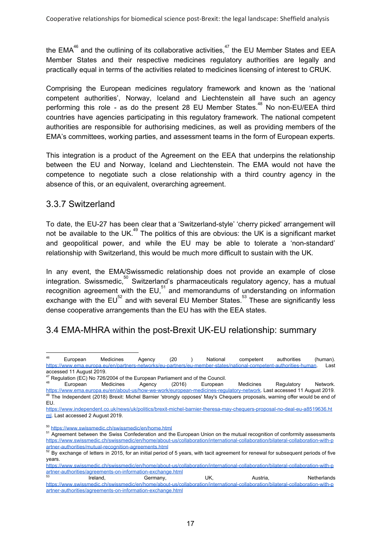the EMA<sup>46</sup> and the outlining of its collaborative activities,<sup>47</sup> the EU Member States and EEA Member States and their respective medicines regulatory authorities are legally and practically equal in terms of the activities related to medicines licensing of interest to CRUK.

Comprising the European medicines regulatory framework and known as the 'national competent authorities', Norway, Iceland and Liechtenstein all have such an agency performing this role - as do the present 28 EU Member States.<sup>48</sup> No non-EU/EEA third countries have agencies participating in this regulatory framework. The national competent authorities are responsible for authorising medicines, as well as providing members of the EMA's committees, working parties, and assessment teams in the form of European experts.

This integration is a product of the Agreement on the EEA that underpins the relationship between the EU and Norway, Iceland and Liechtenstein. The EMA would not have the competence to negotiate such a close relationship with a third country agency in the absence of this, or an equivalent, overarching agreement.

#### 3.3.7 Switzerland

To date, the EU-27 has been clear that a 'Switzerland-style' 'cherry picked' arrangement will not be available to the UK.<sup>49</sup> The politics of this are obvious: the UK is a significant market and geopolitical power, and while the EU may be able to tolerate a 'non-standard' relationship with Switzerland, this would be much more difficult to sustain with the UK.

In any event, the EMA/Swissmedic relationship does not provide an example of close integration. Swissmedic,  $50^\circ$  Switzerland's pharmaceuticals regulatory agency, has a mutual recognition agreement with the EU, $51$  and memorandums of understanding on information exchange with the  $EU^{52}$  and with several EU Member States.<sup>53</sup> These are significantly less dense cooperative arrangements than the EU has with the EEA states.

# 3.4 EMA-MHRA within the post-Brexit UK-EU relationship: summary

<sup>&</sup>lt;sup>46</sup> European Medicines Agency (20 ) National competent authorities (human). [https://www.ema.europa.eu/en/partners-networks/eu-partners/eu-member-states/national-competent-authorities-human.](https://www.ema.europa.eu/en/partners-networks/eu-partners/eu-member-states/national-competent-authorities-human) Last accessed 11 August 2019.

<sup>&</sup>lt;sup>47</sup> Regulation (EC) No 726/2004 of the European Parliament and of the Council.<br><sup>48</sup> European Madistrial Council. (2010)

<sup>&</sup>lt;sup>48</sup> European Medicines Agency (2016) European Medicines Regulatory Network. [https://www.ema.europa.eu/en/about-us/how-we-work/european-medicines-regulatory-network.](https://www.ema.europa.eu/en/about-us/how-we-work/european-medicines-regulatory-network) Last accessed 11 August 2019. <sup>49</sup> The Independent (2018) Brexit: Michel Barnier 'strongly opposes' May's Chequers proposals, warning offer would be end of EU.

[https://www.independent.co.uk/news/uk/politics/brexit-michel-barnier-theresa-may-chequers-proposal-no-deal-eu-a8519636.ht](https://www.independent.co.uk/news/uk/politics/brexit-michel-barnier-theresa-may-chequers-proposal-no-deal-eu-a8519636.html) [ml](https://www.independent.co.uk/news/uk/politics/brexit-michel-barnier-theresa-may-chequers-proposal-no-deal-eu-a8519636.html). Last accessed 2 August 2019.

<sup>50</sup> <https://www.swissmedic.ch/swissmedic/en/home.html>

<sup>&</sup>lt;sup>51</sup> Agreement between the Swiss Confederation and the European Union on the mutual recognition of conformity assessments [https://www.swissmedic.ch/swissmedic/en/home/about-us/collaboration/international-collaboration/bilateral-collaboration-with-p](https://www.swissmedic.ch/swissmedic/en/home/about-us/collaboration/international-collaboration/bilateral-collaboration-with-partner-authorities/mutual-recognition-agreements.html) [artner-authorities/mutual-recognition-agreements.html](https://www.swissmedic.ch/swissmedic/en/home/about-us/collaboration/international-collaboration/bilateral-collaboration-with-partner-authorities/mutual-recognition-agreements.html)

 $52$  By exchange of letters in 2015, for an initial period of 5 years, with tacit agreement for renewal for subsequent periods of five years.

[https://www.swissmedic.ch/swissmedic/en/home/about-us/collaboration/international-collaboration/bilateral-collaboration-with-p](https://www.swissmedic.ch/swissmedic/en/home/about-us/collaboration/international-collaboration/bilateral-collaboration-with-partner-authorities/agreements-on-information-exchange.html) [artner-authorities/agreements-on-information-exchange.html](https://www.swissmedic.ch/swissmedic/en/home/about-us/collaboration/international-collaboration/bilateral-collaboration-with-partner-authorities/agreements-on-information-exchange.html) 53

Ireland, Germany, UK, Austria, Netherlands [https://www.swissmedic.ch/swissmedic/en/home/about-us/collaboration/international-collaboration/bilateral-collaboration-with-p](https://www.swissmedic.ch/swissmedic/en/home/about-us/collaboration/international-collaboration/bilateral-collaboration-with-partner-authorities/agreements-on-information-exchange.html) [artner-authorities/agreements-on-information-exchange.html](https://www.swissmedic.ch/swissmedic/en/home/about-us/collaboration/international-collaboration/bilateral-collaboration-with-partner-authorities/agreements-on-information-exchange.html)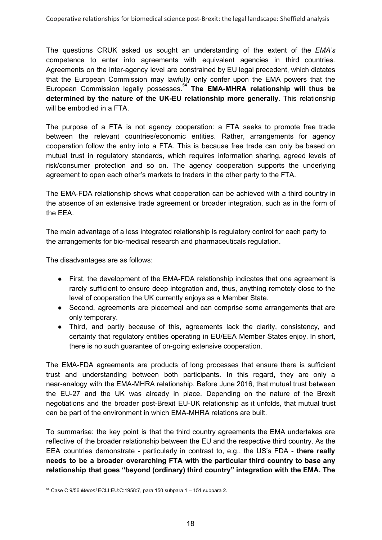The questions CRUK asked us sought an understanding of the extent of the *EMA's* competence to enter into agreements with equivalent agencies in third countries. Agreements on the inter-agency level are constrained by EU legal precedent, which dictates that the European Commission may lawfully only confer upon the EMA powers that the European Commission legally possesses. **The EMA-MHRA relationship will thus be** 54 **determined by the nature of the UK-EU relationship more generally**. This relationship will be embodied in a FTA.

The purpose of a FTA is not agency cooperation: a FTA seeks to promote free trade between the relevant countries/economic entities. Rather, arrangements for agency cooperation follow the entry into a FTA. This is because free trade can only be based on mutual trust in regulatory standards, which requires information sharing, agreed levels of risk/consumer protection and so on. The agency cooperation supports the underlying agreement to open each other's markets to traders in the other party to the FTA.

The EMA-FDA relationship shows what cooperation can be achieved with a third country in the absence of an extensive trade agreement or broader integration, such as in the form of the EEA.

The main advantage of a less integrated relationship is regulatory control for each party to the arrangements for bio-medical research and pharmaceuticals regulation.

The disadvantages are as follows:

- First, the development of the EMA-FDA relationship indicates that one agreement is rarely sufficient to ensure deep integration and, thus, anything remotely close to the level of cooperation the UK currently enjoys as a Member State.
- Second, agreements are piecemeal and can comprise some arrangements that are only temporary.
- Third, and partly because of this, agreements lack the clarity, consistency, and certainty that regulatory entities operating in EU/EEA Member States enjoy. In short, there is no such guarantee of on-going extensive cooperation.

The EMA-FDA agreements are products of long processes that ensure there is sufficient trust and understanding between both participants. In this regard, they are only a near-analogy with the EMA-MHRA relationship. Before June 2016, that mutual trust between the EU-27 and the UK was already in place. Depending on the nature of the Brexit negotiations and the broader post-Brexit EU-UK relationship as it unfolds, that mutual trust can be part of the environment in which EMA-MHRA relations are built.

To summarise: the key point is that the third country agreements the EMA undertakes are reflective of the broader relationship between the EU and the respective third country. As the EEA countries demonstrate - particularly in contrast to, e.g., the US's FDA - **there really needs to be a broader overarching FTA with the particular third country to base any relationship that goes "beyond (ordinary) third country" integration with the EMA. The**

<sup>54</sup> Case C 9/56 *Meroni* ECLI:EU:C:1958:7, para 150 subpara 1 – 151 subpara 2.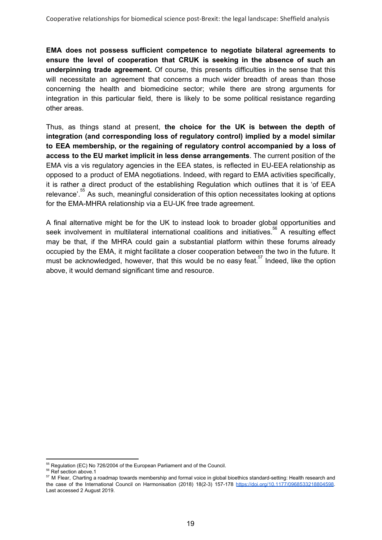**EMA does not possess sufficient competence to negotiate bilateral agreements to ensure the level of cooperation that CRUK is seeking in the absence of such an underpinning trade agreement.** Of course, this presents difficulties in the sense that this will necessitate an agreement that concerns a much wider breadth of areas than those concerning the health and biomedicine sector; while there are strong arguments for integration in this particular field, there is likely to be some political resistance regarding other areas.

Thus, as things stand at present, **the choice for the UK is between the depth of integration (and corresponding loss of regulatory control) implied by a model similar to EEA membership, or the regaining of regulatory control accompanied by a loss of access to the EU market implicit in less dense arrangements**. The current position of the EMA vis a vis regulatory agencies in the EEA states, is reflected in EU-EEA relationship as opposed to a product of EMA negotiations. Indeed, with regard to EMA activities specifically, it is rather a direct product of the establishing Regulation which outlines that it is 'of EEA relevance'.<sup>55</sup> As such, meaningful consideration of this option necessitates looking at options for the EMA-MHRA relationship via a EU-UK free trade agreement.

A final alternative might be for the UK to instead look to broader global opportunities and seek involvement in multilateral international coalitions and initiatives.<sup>56</sup> A resulting effect may be that, if the MHRA could gain a substantial platform within these forums already occupied by the EMA, it might facilitate a closer cooperation between the two in the future. It must be acknowledged, however, that this would be no easy feat.<sup>57</sup> Indeed, like the option above, it would demand significant time and resource.

<sup>&</sup>lt;sup>55</sup> Regulation (EC) No 726/2004 of the European Parliament and of the Council.

<sup>&</sup>lt;sup>56</sup> Ref section above.1

<sup>&</sup>lt;sup>57</sup> M Flear, Charting a roadmap towards membership and formal voice in global bioethics standard-setting: Health research and the case of the International Council on Harmonisation (2018) 18(2-3) 157-178 <https://doi.org/10.1177/0968533218804598>. Last accessed 2 August 2019.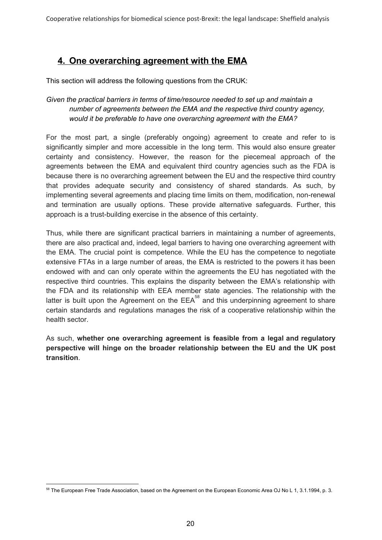# **4. One overarching agreement with the EMA**

This section will address the following questions from the CRUK:

#### *Given the practical barriers in terms of time/resource needed to set up and maintain a number of agreements between the EMA and the respective third country agency, would it be preferable to have one overarching agreement with the EMA?*

For the most part, a single (preferably ongoing) agreement to create and refer to is significantly simpler and more accessible in the long term. This would also ensure greater certainty and consistency. However, the reason for the piecemeal approach of the agreements between the EMA and equivalent third country agencies such as the FDA is because there is no overarching agreement between the EU and the respective third country that provides adequate security and consistency of shared standards. As such, by implementing several agreements and placing time limits on them, modification, non-renewal and termination are usually options. These provide alternative safeguards. Further, this approach is a trust-building exercise in the absence of this certainty.

Thus, while there are significant practical barriers in maintaining a number of agreements, there are also practical and, indeed, legal barriers to having one overarching agreement with the EMA. The crucial point is competence. While the EU has the competence to negotiate extensive FTAs in a large number of areas, the EMA is restricted to the powers it has been endowed with and can only operate within the agreements the EU has negotiated with the respective third countries. This explains the disparity between the EMA's relationship with the FDA and its relationship with EEA member state agencies. The relationship with the latter is built upon the Agreement on the  $EEA^{58}$  and this underpinning agreement to share certain standards and regulations manages the risk of a cooperative relationship within the health sector.

As such, **whether one overarching agreement is feasible from a legal and regulatory perspective will hinge on the broader relationship between the EU and the UK post transition**.

<sup>&</sup>lt;sup>58</sup> The European Free Trade Association, based on the Agreement on the European Economic Area OJ No L 1, 3.1.1994, p. 3.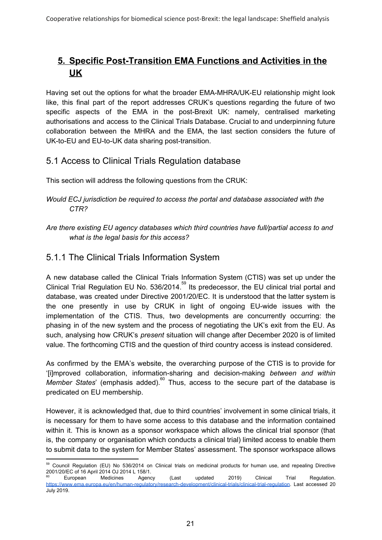# **5. Specific Post-Transition EMA Functions and Activities in the UK**

Having set out the options for what the broader EMA-MHRA/UK-EU relationship might look like, this final part of the report addresses CRUK's questions regarding the future of two specific aspects of the EMA in the post-Brexit UK: namely, centralised marketing authorisations and access to the Clinical Trials Database. Crucial to and underpinning future collaboration between the MHRA and the EMA, the last section considers the future of UK-to-EU and EU-to-UK data sharing post-transition.

### 5.1 Access to Clinical Trials Regulation database

This section will address the following questions from the CRUK:

*Are there existing EU agency databases which third countries have full/partial access to and what is the legal basis for this access?*

# 5.1.1 The Clinical Trials Information System

A new database called the Clinical Trials Information System (CTIS) was set up under the Clinical Trial Regulation EU No. 536/2014.<sup>59</sup> Its predecessor, the EU clinical trial portal and database, was created under Directive 2001/20/EC. It is understood that the latter system is the one presently in use by CRUK in light of ongoing EU-wide issues with the implementation of the CTIS. Thus, two developments are concurrently occurring: the phasing in of the new system and the process of negotiating the UK's exit from the EU. As such, analysing how CRUK's *present* situation will change after December 2020 is of limited value. The forthcoming CTIS and the question of third country access is instead considered.

As confirmed by the EMA's website, the overarching purpose of the CTIS is to provide for '[i]mproved collaboration, information-sharing and decision-making *between and within Member States*' (emphasis added).<sup>60</sup> Thus, access to the secure part of the database is predicated on EU membership.

However, it is acknowledged that, due to third countries' involvement in some clinical trials, it is necessary for them to have some access to this database and the information contained within it. This is known as a sponsor workspace which allows the clinical trial sponsor (that is, the company or organisation which conducts a clinical trial) limited access to enable them to submit data to the system for Member States' assessment. The sponsor workspace allows

*Would ECJ jurisdiction be required to access the portal and database associated with the CTR?*

<sup>&</sup>lt;sup>59</sup> Council Regulation (EU) No 536/2014 on Clinical trials on medicinal products for human use, and repealing Directive 2001/20/EC of 16 April 2014 OJ 2014 L 158/1.

<sup>&</sup>lt;sup>60</sup> European Medicines Agency (Last updated 2019) Clinical Trial Regulation. [https://www.ema.europa.eu/en/human-regulatory/research-development/clinical-trials/clinical-trial-regulation.](https://www.ema.europa.eu/en/human-regulatory/research-development/clinical-trials/clinical-trial-regulation) Last accessed 20 July 2019.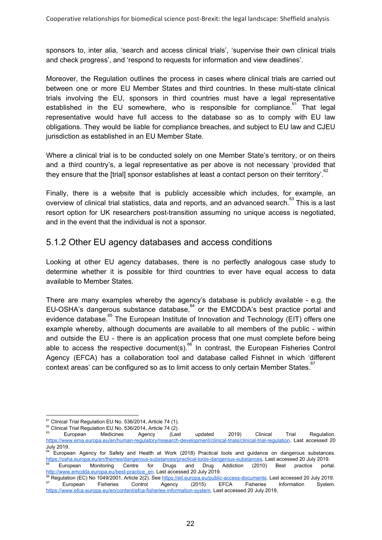sponsors to, inter alia, 'search and access clinical trials', 'supervise their own clinical trials and check progress', and 'respond to requests for information and view deadlines'.

Moreover, the Regulation outlines the process in cases where clinical trials are carried out between one or more EU Member States and third countries. In these multi-state clinical trials involving the EU, sponsors in third countries must have a legal representative established in the EU somewhere, who is responsible for compliance.<sup>61</sup> That legal representative would have full access to the database so as to comply with EU law obligations. They would be liable for compliance breaches, and subject to EU law and CJEU jurisdiction as established in an EU Member State.

Where a clinical trial is to be conducted solely on one Member State's territory, or on theirs and a third country's, a legal representative as per above is not necessary 'provided that they ensure that the [trial] sponsor establishes at least a contact person on their territory'.<sup>62</sup>

Finally, there is a website that is publicly accessible which includes, for example, an overview of clinical trial statistics, data and reports, and an advanced search.<sup>63</sup> This is a last resort option for UK researchers post-transition assuming no unique access is negotiated, and in the event that the individual is not a sponsor.

#### 5.1.2 Other EU agency databases and access conditions

Looking at other EU agency databases, there is no perfectly analogous case study to determine whether it is possible for third countries to ever have equal access to data available to Member States.

There are many examples whereby the agency's database is publicly available - e.g. the EU-OSHA's dangerous substance database,  $64$  or the EMCDDA's best practice portal and evidence database.<sup>65</sup> The European Institute of Innovation and Technology (EIT) offers one example whereby, although documents are available to all members of the public - within and outside the EU - there is an application process that one must complete before being able to access the respective document(s).<sup>66</sup> In contrast, the European Fisheries Control Agency (EFCA) has a collaboration tool and database called Fishnet in which 'different context areas' can be configured so as to limit access to only certain Member States.<sup>67</sup>

<sup>&</sup>lt;sup>61</sup> Clinical Trial Regulation EU No. 536/2014, Article 74 (1).

 $^{62}$  Clinical Trial Regulation EU No. 536/2014, Article 74 (2).

<sup>&</sup>lt;sup>63</sup> European Medicines Agency (Last updated 2019) Clinical Trial Regulation. [https://www.ema.europa.eu/en/human-regulatory/research-development/clinical-trials/clinical-trial-regulation.](https://www.ema.europa.eu/en/human-regulatory/research-development/clinical-trials/clinical-trial-regulation) Last accessed 20 July 2019.

<sup>64</sup> European Agency for Safety and Health at Work (2018) Practical tools and guidance on dangerous substances. [https://osha.europa.eu/en/themes/dangerous-substances/practical-tools-dangerous-substances.](https://osha.europa.eu/en/themes/dangerous-substances/practical-tools-dangerous-substances) Last accessed 20 July 2019. <sup>65</sup> European Monitoring Centre for Drugs and Drug Addiction (2010) Best practice portal. [http://www.emcdda.europa.eu/best-practice\\_en](http://www.emcdda.europa.eu/best-practice_en). Last accessed 20 July 2019.

<sup>&</sup>lt;sup>66</sup> Regulation (EC) No 1049/2001, Article 2(2). See <https://eit.europa.eu/public-access-documents>. Last accessed 20 July 2019. <sup>67</sup> European Fisheries Control Agency (2015) EFCA Fisheries Information System. [https://www.efca.europa.eu/en/content/efca-fisheries-information-system.](https://www.efca.europa.eu/en/content/efca-fisheries-information-system) Last accessed 20 July 2019,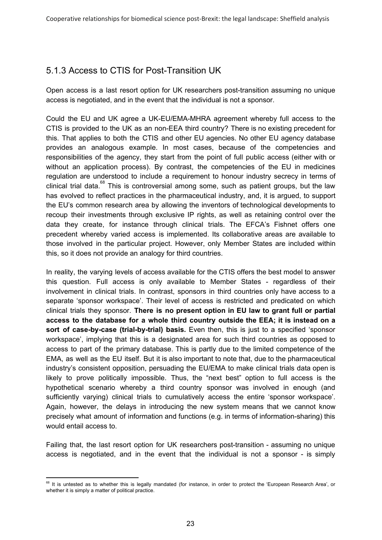# 5.1.3 Access to CTIS for Post-Transition UK

Open access is a last resort option for UK researchers post-transition assuming no unique access is negotiated, and in the event that the individual is not a sponsor.

Could the EU and UK agree a UK-EU/EMA-MHRA agreement whereby full access to the CTIS is provided to the UK as an non-EEA third country? There is no existing precedent for this. That applies to both the CTIS and other EU agencies. No other EU agency database provides an analogous example. In most cases, because of the competencies and responsibilities of the agency, they start from the point of full public access (either with or without an application process). By contrast, the competencies of the EU in medicines regulation are understood to include a requirement to honour industry secrecy in terms of clinical trial data.<sup>68</sup> This is controversial among some, such as patient groups, but the law has evolved to reflect practices in the pharmaceutical industry, and, it is argued, to support the EU's common research area by allowing the inventors of technological developments to recoup their investments through exclusive IP rights, as well as retaining control over the data they create, for instance through clinical trials. The EFCA's Fishnet offers one precedent whereby varied access is implemented. Its collaborative areas are available to those involved in the particular project. However, only Member States are included within this, so it does not provide an analogy for third countries.

In reality, the varying levels of access available for the CTIS offers the best model to answer this question. Full access is only available to Member States - regardless of their involvement in clinical trials. In contrast, sponsors in third countries only have access to a separate 'sponsor workspace'. Their level of access is restricted and predicated on which clinical trials they sponsor. **There is no present option in EU law to grant full or partial access to the database for a whole third country outside the EEA; it is instead on a sort of case-by-case (trial-by-trial) basis.** Even then, this is just to a specified 'sponsor workspace', implying that this is a designated area for such third countries as opposed to access to part of the primary database. This is partly due to the limited competence of the EMA, as well as the EU itself. But it is also important to note that, due to the pharmaceutical industry's consistent opposition, persuading the EU/EMA to make clinical trials data open is likely to prove politically impossible. Thus, the "next best" option to full access is the hypothetical scenario whereby a third country sponsor was involved in enough (and sufficiently varying) clinical trials to cumulatively access the entire 'sponsor workspace'. Again, however, the delays in introducing the new system means that we cannot know precisely what amount of information and functions (e.g. in terms of information-sharing) this would entail access to.

Failing that, the last resort option for UK researchers post-transition - assuming no unique access is negotiated, and in the event that the individual is not a sponsor - is simply

<sup>&</sup>lt;sup>68</sup> It is untested as to whether this is legally mandated (for instance, in order to protect the 'European Research Area', or whether it is simply a matter of political practice.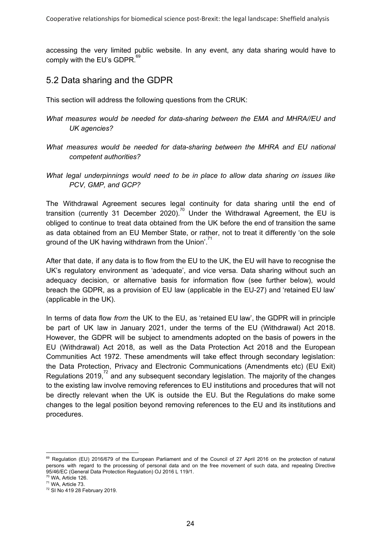accessing the very limited public website. In any event, any data sharing would have to comply with the EU's GDPR.<sup>69</sup>

#### 5.2 Data sharing and the GDPR

This section will address the following questions from the CRUK:

- *What measures would be needed for data-sharing between the EMA and MHRA//EU and UK agencies?*
- *What measures would be needed for data-sharing between the MHRA and EU national competent authorities?*
- *What legal underpinnings would need to be in place to allow data sharing on issues like PCV, GMP, and GCP?*

The Withdrawal Agreement secures legal continuity for data sharing until the end of transition (currently 31 December 2020).<sup>70</sup> Under the Withdrawal Agreement, the EU is obliged to continue to treat data obtained from the UK before the end of transition the same as data obtained from an EU Member State, or rather, not to treat it differently 'on the sole ground of the UK having withdrawn from the Union'.<sup>71</sup>

After that date, if any data is to flow from the EU to the UK, the EU will have to recognise the UK's regulatory environment as 'adequate', and vice versa. Data sharing without such an adequacy decision, or alternative basis for information flow (see further below), would breach the GDPR, as a provision of EU law (applicable in the EU-27) and 'retained EU law' (applicable in the UK).

In terms of data flow *from* the UK to the EU, as 'retained EU law', the GDPR will in principle be part of UK law in January 2021, under the terms of the EU (Withdrawal) Act 2018. However, the GDPR will be subject to amendments adopted on the basis of powers in the EU (Withdrawal) Act 2018, as well as the Data Protection Act 2018 and the European Communities Act 1972. These amendments will take effect through secondary legislation: the Data Protection, Privacy and Electronic Communications (Amendments etc) (EU Exit) Regulations 2019, $72$  and any subsequent secondary legislation. The majority of the changes to the existing law involve removing references to EU institutions and procedures that will not be directly relevant when the UK is outside the EU. But the Regulations do make some changes to the legal position beyond removing references to the EU and its institutions and procedures.

<sup>&</sup>lt;sup>69</sup> Requlation (EU) 2016/679 of the European [Parliament](https://eur-lex.europa.eu/legal-content/AUTO/?uri=CELEX:32016R0679&qid=1561220451668&rid=2) and of the Council of 27 April 2016 on the protection of natural persons with regard to the [processing](https://eur-lex.europa.eu/legal-content/AUTO/?uri=CELEX:32016R0679&qid=1561220451668&rid=2) of personal data and on the free [movement](https://eur-lex.europa.eu/legal-content/AUTO/?uri=CELEX:32016R0679&qid=1561220451668&rid=2) of such data, and repealing Directive 95/46/EC (General Data Protection [Regulation\)](https://eur-lex.europa.eu/legal-content/AUTO/?uri=CELEX:32016R0679&qid=1561220451668&rid=2) OJ 2016 L 119/1.

 $70$  WA, Article 126. <sup>71</sup> WA, Article 73.

<sup>72</sup> SI No 419 28 February 2019.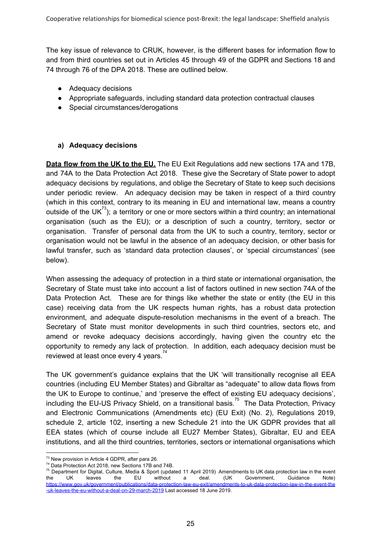The key issue of relevance to CRUK, however, is the different bases for information flow to and from third countries set out in Articles 45 through 49 of the GDPR and Sections 18 and 74 through 76 of the DPA 2018. These are outlined below.

- Adequacy decisions
- Appropriate safeguards, including standard data protection contractual clauses
- Special circumstances/derogations

#### **a) Adequacy decisions**

**Data flow from the UK to the EU.** The EU Exit Regulations add new sections 17A and 17B, and 74A to the Data Protection Act 2018. These give the Secretary of State power to adopt adequacy decisions by regulations, and oblige the Secretary of State to keep such decisions under periodic review. An adequacy decision may be taken in respect of a third country (which in this context, contrary to its meaning in EU and international law, means a country outside of the UK<sup>73</sup>); a territory or one or more sectors within a third country; an international organisation (such as the EU); or a description of such a country, territory, sector or organisation. Transfer of personal data from the UK to such a country, territory, sector or organisation would not be lawful in the absence of an adequacy decision, or other basis for lawful transfer, such as 'standard data protection clauses', or 'special circumstances' (see below).

When assessing the adequacy of protection in a third state or international organisation, the Secretary of State must take into account a list of factors outlined in new section 74A of the Data Protection Act. These are for things like whether the state or entity (the EU in this case) receiving data from the UK respects human rights, has a robust data protection environment, and adequate dispute-resolution mechanisms in the event of a breach. The Secretary of State must monitor developments in such third countries, sectors etc, and amend or revoke adequacy decisions accordingly, having given the country etc the opportunity to remedy any lack of protection. In addition, each adequacy decision must be reviewed at least once every 4 years.<sup>74</sup>

The UK government's guidance explains that the UK 'will transitionally recognise all EEA countries (including EU Member States) and Gibraltar as "adequate" to allow data flows from the UK to Europe to continue,' and 'preserve the effect of existing EU adequacy decisions', including the EU-US Privacy Shield, on a transitional basis.<sup>75</sup> The Data Protection, Privacy and Electronic Communications (Amendments etc) (EU Exit) (No. 2), Regulations 2019, schedule 2, article 102, inserting a new Schedule 21 into the UK GDPR provides that all EEA states (which of course include all EU27 Member States), Gibraltar, EU and EEA institutions, and all the third countries, territories, sectors or international organisations which

<sup>&</sup>lt;sup>73</sup> New provision in Article 4 GDPR, after para 26.

<sup>74</sup> Data Protection Act 2018, new Sections 17B and 74B.

<sup>&</sup>lt;sup>75</sup> Department for Digital, Culture, Media & Sport (updated 11 April 2019) Amendments to UK data protection law in the event the UK leaves the EU without a deal. (UK Government, Guidance Note[\)](https://www.gov.uk/government/publications/data-protection-law-eu-exit/amendments-to-uk-data-protection-law-in-the-event-the-uk-leaves-the-eu-without-a-deal-on-29-march-2019) [https://www.gov.uk/government/publications/data-protection-law-eu-exit/amendments-to-uk-data-protection-law-in-the-event-the](https://www.gov.uk/government/publications/data-protection-law-eu-exit/amendments-to-uk-data-protection-law-in-the-event-the-uk-leaves-the-eu-without-a-deal-on-29-march-2019) [-uk-leaves-the-eu-without-a-deal-on-29-march-2019](https://www.gov.uk/government/publications/data-protection-law-eu-exit/amendments-to-uk-data-protection-law-in-the-event-the-uk-leaves-the-eu-without-a-deal-on-29-march-2019) Last accessed 18 June 2019.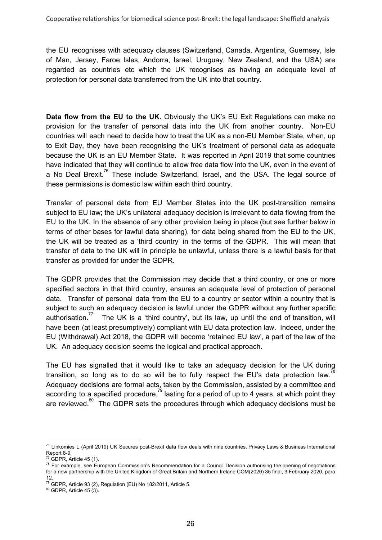the EU recognises with adequacy clauses (Switzerland, Canada, Argentina, Guernsey, Isle of Man, Jersey, Faroe Isles, Andorra, Israel, Uruguay, New Zealand, and the USA) are regarded as countries etc which the UK recognises as having an adequate level of protection for personal data transferred from the UK into that country.

**Data flow from the EU to the UK.** Obviously the UK's EU Exit Regulations can make no provision for the transfer of personal data into the UK from another country. Non-EU countries will each need to decide how to treat the UK as a non-EU Member State, when, up to Exit Day, they have been recognising the UK's treatment of personal data as adequate because the UK is an EU Member State. It was reported in April 2019 that some countries have indicated that they will continue to allow free data flow into the UK, even in the event of a No Deal Brexit.<sup>76</sup> These include Switzerland, Israel, and the USA. The legal source of these permissions is domestic law within each third country.

Transfer of personal data from EU Member States into the UK post-transition remains subject to EU law; the UK's unilateral adequacy decision is irrelevant to data flowing from the EU to the UK. In the absence of any other provision being in place (but see further below in terms of other bases for lawful data sharing), for data being shared from the EU to the UK, the UK will be treated as a 'third country' in the terms of the GDPR. This will mean that transfer of data to the UK will in principle be unlawful, unless there is a lawful basis for that transfer as provided for under the GDPR.

The GDPR provides that the Commission may decide that a third country, or one or more specified sectors in that third country, ensures an adequate level of protection of personal data. Transfer of personal data from the EU to a country or sector within a country that is subject to such an adequacy decision is lawful under the GDPR without any further specific The UK is a 'third country', but its law, up until the end of transition, will authorisation." have been (at least presumptively) compliant with EU data protection law. Indeed, under the EU (Withdrawal) Act 2018, the GDPR will become 'retained EU law', a part of the law of the UK. An adequacy decision seems the logical and practical approach.

The EU has signalled that it would like to take an adequacy decision for the UK during transition, so long as to do so will be to fully respect the EU's data protection law.<sup>78</sup> Adequacy decisions are formal acts, taken by the Commission, assisted by a committee and according to a specified procedure,<sup>79</sup> lasting for a period of up to 4 years, at which point they are reviewed.<sup>80</sup> The GDPR sets the procedures through which adequacy decisions must be

<sup>&</sup>lt;sup>76</sup> Linkomies L (April 2019) UK Secures post-Brexit data flow deals with nine countries. Privacy Laws & Business International Report 8-9.

 $77$  GDPR, Article 45 (1).

 $78$  For example, see European Commission's Recommendation for a Council Decision authorising the opening of negotiations for a new partnership with the United Kingdom of Great Britain and Northern Ireland COM(2020) 35 final, 3 February 2020, para 12.

<sup>79</sup> GDPR, Article 93 (2), Regulation (EU) No 182/2011, Article 5.

<sup>80</sup> GDPR, Article 45 (3).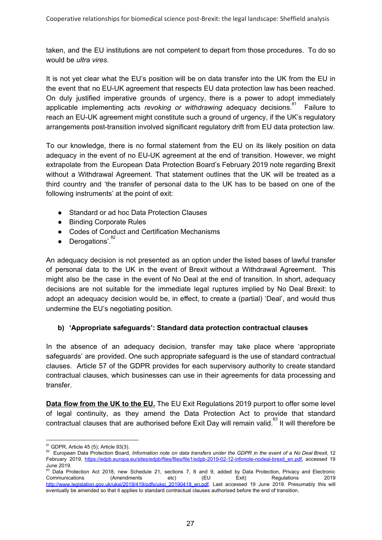taken, and the EU institutions are not competent to depart from those procedures. To do so would be *ultra vires*.

It is not yet clear what the EU's position will be on data transfer into the UK from the EU in the event that no EU-UK agreement that respects EU data protection law has been reached. On duly justified imperative grounds of urgency, there is a power to adopt immediately applicable implementing acts *revoking or withdrawing* adequacy decisions.<sup>81</sup> Failure to reach an EU-UK agreement might constitute such a ground of urgency, if the UK's regulatory arrangements post-transition involved significant regulatory drift from EU data protection law.

To our knowledge, there is no formal statement from the EU on its likely position on data adequacy in the event of no EU-UK agreement at the end of transition. However, we might extrapolate from the European Data Protection Board's February 2019 note regarding Brexit without a Withdrawal Agreement. That statement outlines that the UK will be treated as a third country and 'the transfer of personal data to the UK has to be based on one of the following instruments' at the point of exit:

- Standard or ad hoc Data Protection Clauses
- Binding Corporate Rules
- Codes of Conduct and Certification Mechanisms
- $\bullet$  Derogations'.<sup>82</sup>

An adequacy decision is not presented as an option under the listed bases of lawful transfer of personal data to the UK in the event of Brexit without a Withdrawal Agreement. This might also be the case in the event of No Deal at the end of transition. In short, adequacy decisions are not suitable for the immediate legal ruptures implied by No Deal Brexit: to adopt an adequacy decision would be, in effect, to create a (partial) 'Deal', and would thus undermine the EU's negotiating position.

#### **b) 'Appropriate safeguards': Standard data protection contractual clauses**

In the absence of an adequacy decision, transfer may take place where 'appropriate safeguards' are provided. One such appropriate safeguard is the use of standard contractual clauses. Article 57 of the GDPR provides for each supervisory authority to create standard contractual clauses, which businesses can use in their agreements for data processing and transfer.

**Data flow from the UK to the EU.** The EU Exit Regulations 2019 purport to offer some level of legal continuity, as they amend the Data Protection Act to provide that standard contractual clauses that are authorised before Exit Day will remain valid.<sup>83</sup> It will therefore be

<sup>81</sup> GDPR, Article 45 (5); Article 93(3).

<sup>82</sup> European Data Protection Board, Information note on data transfers under the GDPR in the event of a No Deal Brexit, 12 February 2019[,](https://edpb.europa.eu/sites/edpb/files/files/file1/edpb-2019-02-12-infonote-nodeal-brexit_en.pdf) [https://edpb.europa.eu/sites/edpb/files/files/file1/edpb-2019-02-12-infonote-nodeal-brexit\\_en.pdf](https://edpb.europa.eu/sites/edpb/files/files/file1/edpb-2019-02-12-infonote-nodeal-brexit_en.pdf), accessed 19 June 2019.

<sup>&</sup>lt;sup>83</sup> Data Protection Act 2018, new Schedule 21, sections 7, 8 and 9, added by Data Protection, Privacy and Electronic Communications (Amendments etc) (EU Exit) Regulations 2019 [http://www.legislation.gov.uk/uksi/2019/419/pdfs/uksi\\_20190419\\_en.pdf.](http://www.legislation.gov.uk/uksi/2019/419/pdfs/uksi_20190419_en.pdf) Last accessed 19 June 2019. Presumably this will eventually be amended so that it applies to standard contractual clauses authorised before the end of transition.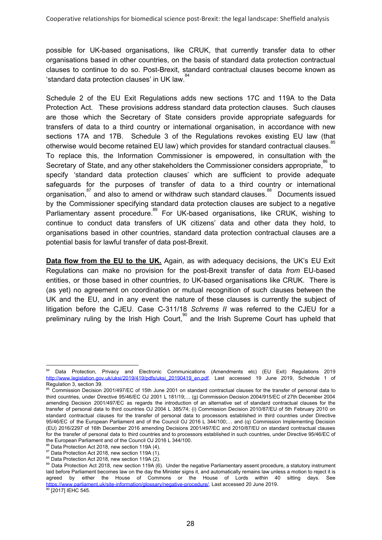possible for UK-based organisations, like CRUK, that currently transfer data to other organisations based in other countries, on the basis of standard data protection contractual clauses to continue to do so. Post-Brexit, standard contractual clauses become known as 'standard data protection clauses' in UK law.<sup>84</sup>

Schedule 2 of the EU Exit Regulations adds new sections 17C and 119A to the Data Protection Act. These provisions address standard data protection clauses. Such clauses are those which the Secretary of State considers provide appropriate safeguards for transfers of data to a third country or international organisation, in accordance with new sections 17A and 17B. Schedule 3 of the Regulations revokes existing EU law (that otherwise would become retained EU law) which provides for standard contractual clauses.<sup>85</sup> To replace this, the Information Commissioner is empowered, in consultation with the Secretary of State, and any other stakeholders the Commissioner considers appropriate, $^{86}$  to specify 'standard data protection clauses' which are sufficient to provide adequate safeguards for the purposes of transfer of data to a third country or international organisation, $^{87}$  and also to amend or withdraw such standard clauses. $^{88}$  Documents issued by the Commissioner specifying standard data protection clauses are subject to a negative Parliamentary assent procedure.<sup>89</sup> For UK-based organisations, like CRUK, wishing to continue to conduct data transfers of UK citizens' data and other data they hold, to organisations based in other countries, standard data protection contractual clauses are a potential basis for lawful transfer of data post-Brexit.

**Data flow from the EU to the UK.** Again, as with adequacy decisions, the UK's EU Exit Regulations can make no provision for the post-Brexit transfer of data *from* EU-based entities, or those based in other countries, *to* UK-based organisations like CRUK. There is (as yet) no agreement on coordination or mutual recognition of such clauses between the UK and the EU, and in any event the nature of these clauses is currently the subject of litigation before the CJEU. Case C-311/18 *Schrems II* was referred to the CJEU for a preliminary ruling by the Irish High Court, $^{\text{90}}$  and the Irish Supreme Court has upheld that

Data Protection, Privacy and Electronic Communications (Amendments etc) (EU Exit) Regulations 2019 [http://www.legislation.gov.uk/uksi/2019/419/pdfs/uksi\\_20190419\\_en.pdf.](http://www.legislation.gov.uk/uksi/2019/419/pdfs/uksi_20190419_en.pdf) Last accessed 19 June 2019, Schedule 1 of Regulation 3, section 39.

<sup>&</sup>lt;sup>85</sup> Commission Decision 2001/497/EC of 15th June 2001 on standard contractual clauses for the transfer of personal data to third countries, under Directive 95/46/EC OJ 2001 L 181/19;… (g) Commission Decision 2004/915/EC of 27th December 2004 amending Decision 2001/497/EC as regards the introduction of an alternative set of standard contractual clauses for the transfer of personal data to third countries OJ 2004 L 385/74; (i) Commission Decision 2010/87/EU of 5th February 2010 on standard contractual clauses for the transfer of personal data to processors established in third countries under Directive 95/46/EC of the European Parliament and of the Council OJ 2016 L 344/100;… and (q) Commission Implementing Decision (EU) 2016/2297 of 16th December 2016 amending Decisions 2001/497/EC and 2010/87/EU on standard contractual clauses for the transfer of personal data to third countries and to processors established in such countries, under Directive 95/46/EC of the European Parliament and of the Council OJ 2016 L 344/100.

<sup>&</sup>lt;sup>86</sup> Data Protection Act 2018, new section 119A (4).

<sup>87</sup> Data Protection Act 2018, new section 119A (1).

<sup>88</sup> Data Protection Act 2018, new section 119A (2).

<sup>89</sup> Data Protection Act 2018, new section 119A (6). Under the negative Parliamentary assent procedure, a statutory instrument laid before Parliament becomes law on the day the Minister signs it, and automatically remains law unless a motion to reject it is agreed by either the House of Commons or the House of Lords within 40 sitting days. Se[e](https://www.parliament.uk/site-information/glossary/negative-procedure/) [https://www.parliament.uk/site-information/glossary/negative-procedure/,](https://www.parliament.uk/site-information/glossary/negative-procedure/) Last accessed 20 June 2019. <sup>90</sup> [2017] IEHC 545.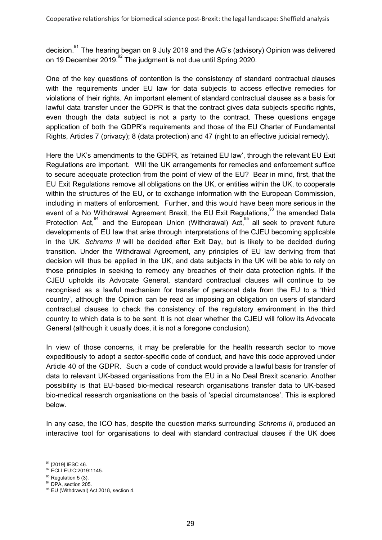decision.<sup>91</sup> The hearing began on 9 July 2019 and the AG's (advisory) Opinion was delivered on 19 December 2019. $^{92}$  The judgment is not due until Spring 2020.

One of the key questions of contention is the consistency of standard contractual clauses with the requirements under EU law for data subjects to access effective remedies for violations of their rights. An important element of standard contractual clauses as a basis for lawful data transfer under the GDPR is that the contract gives data subjects specific rights, even though the data subject is not a party to the contract. These questions engage application of both the GDPR's requirements and those of the EU Charter of Fundamental Rights, Articles 7 (privacy); 8 (data protection) and 47 (right to an effective judicial remedy).

Here the UK's amendments to the GDPR, as 'retained EU law', through the relevant EU Exit Regulations are important. Will the UK arrangements for remedies and enforcement suffice to secure adequate protection from the point of view of the EU? Bear in mind, first, that the EU Exit Regulations remove all obligations on the UK, or entities within the UK, to cooperate within the structures of the EU, or to exchange information with the European Commission, including in matters of enforcement. Further, and this would have been more serious in the event of a No Withdrawal Agreement Brexit, the EU Exit Regulations,  $\overline{S}$  the amended Data Protection Act,  $94$  and the European Union (Withdrawal) Act,  $95$  all seek to prevent future developments of EU law that arise through interpretations of the CJEU becoming applicable in the UK. *Schrems II* will be decided after Exit Day, but is likely to be decided during transition. Under the Withdrawal Agreement, any principles of EU law deriving from that decision will thus be applied in the UK, and data subjects in the UK will be able to rely on those principles in seeking to remedy any breaches of their data protection rights. If the CJEU upholds its Advocate General, standard contractual clauses will continue to be recognised as a lawful mechanism for transfer of personal data from the EU to a 'third country', although the Opinion can be read as imposing an obligation on users of standard contractual clauses to check the consistency of the regulatory environment in the third country to which data is to be sent. It is not clear whether the CJEU will follow its Advocate General (although it usually does, it is not a foregone conclusion).

In view of those concerns, it may be preferable for the health research sector to move expeditiously to adopt a sector-specific code of conduct, and have this code approved under Article 40 of the GDPR. Such a code of conduct would provide a lawful basis for transfer of data to relevant UK-based organisations from the EU in a No Deal Brexit scenario. Another possibility is that EU-based bio-medical research organisations transfer data to UK-based bio-medical research organisations on the basis of 'special circumstances'. This is explored below.

In any case, the ICO has, despite the question marks surrounding *Schrems II*, produced an interactive tool for organisations to deal with standard contractual clauses if the UK does

<sup>&</sup>lt;sup>91</sup> [2019] IESC 46.

<sup>92</sup> ECLI:EU:C:2019:1145.

 $93$  Regulation 5 (3).

<sup>&</sup>lt;sup>94</sup> DPA, section 205.

<sup>95</sup> EU (Withdrawal) Act 2018, section 4.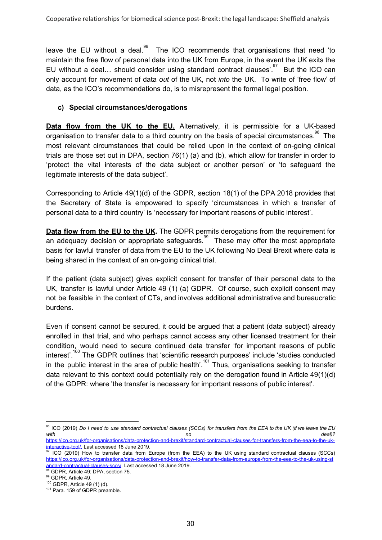The ICO recommends that organisations that need 'to leave the EU without a deal.<sup>90</sup> maintain the free flow of personal data into the UK from Europe, in the event the UK exits the EU without a deal... should consider using standard contract clauses'.<sup>97</sup> But the ICO can only account for movement of data *out* of the UK, not *into* the UK. To write of 'free flow' of data, as the ICO's recommendations do, is to misrepresent the formal legal position.

#### **c) Special circumstances/derogations**

**Data flow from the UK to the EU.** Alternatively, it is permissible for a UK-based organisation to transfer data to a third country on the basis of special circumstances. $^{\text{98}}$  The most relevant circumstances that could be relied upon in the context of on-going clinical trials are those set out in DPA, section 76(1) (a) and (b), which allow for transfer in order to 'protect the vital interests of the data subject or another person' or 'to safeguard the legitimate interests of the data subject'.

Corresponding to Article 49(1)(d) of the GDPR, section 18(1) of the DPA 2018 provides that the Secretary of State is empowered to specify 'circumstances in which a transfer of personal data to a third country' is 'necessary for important reasons of public interest'.

**Data flow from the EU to the UK.** The GDPR permits derogations from the requirement for an adequacy decision or appropriate safeguards.  $\frac{99}{10}$  These may offer the most appropriate basis for lawful transfer of data from the EU to the UK following No Deal Brexit where data is being shared in the context of an on-going clinical trial.

If the patient (data subject) gives explicit consent for transfer of their personal data to the UK, transfer is lawful under Article 49 (1) (a) GDPR. Of course, such explicit consent may not be feasible in the context of CTs, and involves additional administrative and bureaucratic burdens.

Even if consent cannot be secured, it could be argued that a patient (data subject) already enrolled in that trial, and who perhaps cannot access any other licensed treatment for their condition, would need to secure continued data transfer 'for important reasons of public interest'.<sup>100</sup> The GDPR outlines that 'scientific research purposes' include 'studies conducted in the public interest in the area of public health'.<sup>101</sup> Thus, organisations seeking to transfer data relevant to this context could potentially rely on the derogation found in Article 49(1)(d) of the GDPR: where 'the transfer is necessary for important reasons of public interest'.

 $^{96}$  ICO (2019) Do I need to use standard contractual clauses (SCCs) for transfers from the EEA to the UK (if we leave the EU *with no deal)[?](https://ico.org.uk/for-organisations/data-protection-and-brexit/standard-contractual-clauses-for-transfers-from-the-eea-to-the-uk-interactive-tool/)*

[https://ico.org.uk/for-organisations/data-protection-and-brexit/standard-contractual-clauses-for-transfers-from-the-eea-to-the-uk](https://ico.org.uk/for-organisations/data-protection-and-brexit/standard-contractual-clauses-for-transfers-from-the-eea-to-the-uk-interactive-tool/)[interactive-tool/](https://ico.org.uk/for-organisations/data-protection-and-brexit/standard-contractual-clauses-for-transfers-from-the-eea-to-the-uk-interactive-tool/), Last accessed 18 June 2019.<br><sup>97</sup> ICO (2019[\)](https://ico.org.uk/for-organisations/data-protection-and-brexit/how-to-transfer-data-from-europe-from-the-eea-to-the-uk-using-standard-contractual-clauses-sccs/) How to transfer data from Europe (from the EEA) to the UK using standard contractual clauses (SCCs)

[https://ico.org.uk/for-organisations/data-protection-and-brexit/how-to-transfer-data-from-europe-from-the-eea-to-the-uk-using-st](https://ico.org.uk/for-organisations/data-protection-and-brexit/how-to-transfer-data-from-europe-from-the-eea-to-the-uk-using-standard-contractual-clauses-sccs/) [andard-contractual-clauses-sccs/](https://ico.org.uk/for-organisations/data-protection-and-brexit/how-to-transfer-data-from-europe-from-the-eea-to-the-uk-using-standard-contractual-clauses-sccs/). Last accessed 18 June 2019.

<sup>&</sup>lt;sup>98</sup> GDPR, Article 49; DPA, section 75.

<sup>99</sup> GDPR, Article 49. <sup>100</sup> GDPR, Article 49 (1) (d).

<sup>101</sup> Para. 159 of GDPR preamble.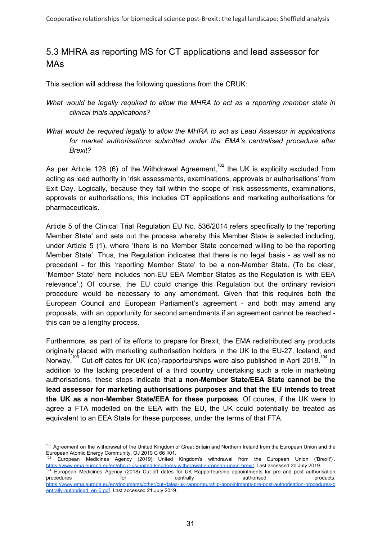## 5.3 MHRA as reporting MS for CT applications and lead assessor for MAs

This section will address the following questions from the CRUK:

- *What would be legally required to allow the MHRA to act as a reporting member state in clinical trials applications?*
- *What would be required legally to allow the MHRA to act as Lead Assessor in applications for market authorisations submitted under the EMA's centralised procedure after Brexit?*

As per Article 128 (6) of the Withdrawal Agreement,<sup>102</sup> the UK is explicitly excluded from acting as lead authority in 'risk assessments, examinations, approvals or authorisations' from Exit Day. Logically, because they fall within the scope of 'risk assessments, examinations, approvals or authorisations, this includes CT applications and marketing authorisations for pharmaceuticals.

Article 5 of the Clinical Trial Regulation EU No. 536/2014 refers specifically to the 'reporting Member State' and sets out the process whereby this Member State is selected including, under Article 5 (1), where 'there is no Member State concerned willing to be the reporting Member State'. Thus, the Regulation indicates that there is no legal basis - as well as no precedent - for this 'reporting Member State' to be a non-Member State. (To be clear, 'Member State' here includes non-EU EEA Member States as the Regulation is 'with EEA relevance'.) Of course, the EU could change this Regulation but the ordinary revision procedure would be necessary to any amendment. Given that this requires both the European Council and European Parliament's agreement - and both may amend any proposals, with an opportunity for second amendments if an agreement cannot be reached this can be a lengthy process.

Furthermore, as part of its efforts to prepare for Brexit, the EMA redistributed any products originally placed with marketing authorisation holders in the UK to the EU-27, Iceland, and Norway.<sup>103</sup> Cut-off dates for UK (co)-rapporteurships were also published in April 2018.<sup>104</sup> In addition to the lacking precedent of a third country undertaking such a role in marketing authorisations, these steps indicate that **a non-Member State/EEA State cannot be the lead assessor for marketing authorisations purposes and that the EU intends to treat the UK as a non-Member State/EEA for these purposes**. Of course, if the UK were to agree a FTA modelled on the EEA with the EU, the UK could potentially be treated as equivalent to an EEA State for these purposes, under the terms of that FTA.

[entrally-authorised\\_en-0.pdf.](https://www.ema.europa.eu/en/documents/other/cut-dates-uk-rapporteurship-appointments-pre-post-authorisation-procedures-centrally-authorised_en-0.pdf) Last accessed 21 July 2019.

<sup>&</sup>lt;sup>102</sup> Agreement on the withdrawal of the United Kingdom of Great Britain and Northern Ireland from the European Union and the European Atomic Energy Community, OJ 2019 C 66 I/01.

<sup>&</sup>lt;sup>103</sup> European Medicines Agency (2019) United Kingdom's withdrawal from the European Union ('Brexit')'. <https://www.ema.europa.eu/en/about-us/united-kingdoms-withdrawal-european-union-brexit>. Last accessed 20 July 2019. <sup>104</sup> European Medicines Agency (2018) Cut-off dates for UK Rapporteurship appointments for pre and post authorisation procedures example for the centrally contrally authorised products. [https://www.ema.europa.eu/en/documents/other/cut-dates-uk-rapporteurship-appointments-pre-post-authorisation-procedures-c](https://www.ema.europa.eu/en/documents/other/cut-dates-uk-rapporteurship-appointments-pre-post-authorisation-procedures-centrally-authorised_en-0.pdf)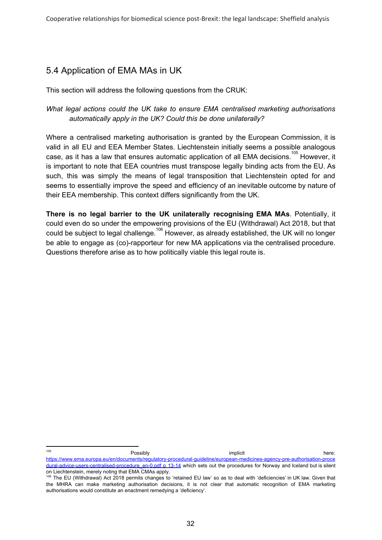# 5.4 Application of EMA MAs in UK

This section will address the following questions from the CRUK:

*What legal actions could the UK take to ensure EMA centralised marketing authorisations automatically apply in the UK? Could this be done unilaterally?*

Where a centralised marketing authorisation is granted by the European Commission, it is valid in all EU and EEA Member States. Liechtenstein initially seems a possible analogous case, as it has a law that ensures automatic application of all EMA decisions.<sup>105</sup> However, it is important to note that EEA countries must transpose legally binding acts from the EU. As such, this was simply the means of legal transposition that Liechtenstein opted for and seems to essentially improve the speed and efficiency of an inevitable outcome by nature of their EEA membership. This context differs significantly from the UK.

**There is no legal barrier to the UK unilaterally recognising EMA MAs**. Potentially, it could even do so under the empowering provisions of the EU (Withdrawal) Act 2018, but that could be subject to legal challenge. $^{106}$  However, as already established, the UK will no longer be able to engage as (co)-rapporteur for new MA applications via the centralised procedure. Questions therefore arise as to how politically viable this legal route is.

<sup>105</sup> **Possibly Results** Possibly **implicit** and the contract of the contract of the contract of the contract of the contract of the contract of the contract of the contract of the contract of the contract of the contract of [https://www.ema.europa.eu/en/documents/regulatory-procedural-guideline/european-medicines-agency-pre-authorisation-proce](https://www.ema.europa.eu/en/documents/regulatory-procedural-guideline/european-medicines-agency-pre-authorisation-procedural-advice-users-centralised-procedure_en-0.pdf%20p%2013-14) [dural-advice-users-centralised-procedure\\_en-0.pdf](https://www.ema.europa.eu/en/documents/regulatory-procedural-guideline/european-medicines-agency-pre-authorisation-procedural-advice-users-centralised-procedure_en-0.pdf%20p%2013-14) p 13-14 which sets out the procedures for Norway and Iceland but is silent on Liechtenstein, merely noting that EMA CMAs apply.

<sup>106</sup> The EU (Withdrawal) Act 2018 permits changes to 'retained EU law' so as to deal with 'deficiencies' in UK law. Given that the MHRA can make marketing authorisation decisions, it is not clear that automatic recognition of EMA marketing authorisations would constitute an enactment remedying a 'deficiency'.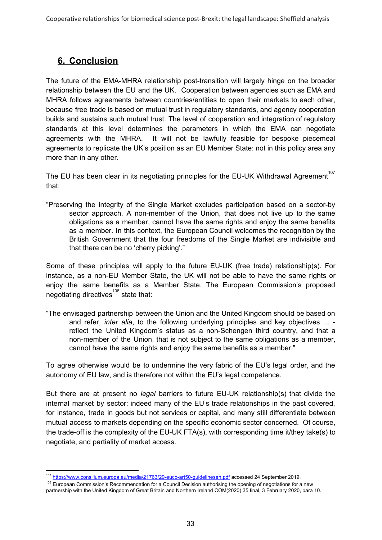# **6. Conclusion**

The future of the EMA-MHRA relationship post-transition will largely hinge on the broader relationship between the EU and the UK. Cooperation between agencies such as EMA and MHRA follows agreements between countries/entities to open their markets to each other, because free trade is based on mutual trust in regulatory standards, and agency cooperation builds and sustains such mutual trust. The level of cooperation and integration of regulatory standards at this level determines the parameters in which the EMA can negotiate agreements with the MHRA. It will not be lawfully feasible for bespoke piecemeal agreements to replicate the UK's position as an EU Member State: not in this policy area any more than in any other.

The EU has been clear in its negotiating principles for the EU-UK Withdrawal Agreement<sup>107</sup> that:

"Preserving the integrity of the Single Market excludes participation based on a sector-by sector approach. A non-member of the Union, that does not live up to the same obligations as a member, cannot have the same rights and enjoy the same benefits as a member. In this context, the European Council welcomes the recognition by the British Government that the four freedoms of the Single Market are indivisible and that there can be no 'cherry picking'."

Some of these principles will apply to the future EU-UK (free trade) relationship(s). For instance, as a non-EU Member State, the UK will not be able to have the same rights or enjoy the same benefits as a Member State. The European Commission's proposed negotiating directives $^{108}$  state that:

"The envisaged partnership between the Union and the United Kingdom should be based on and refer, *inter alia*, to the following underlying principles and key objectives … reflect the United Kingdom's status as a non-Schengen third country, and that a non-member of the Union, that is not subject to the same obligations as a member, cannot have the same rights and enjoy the same benefits as a member."

To agree otherwise would be to undermine the very fabric of the EU's legal order, and the autonomy of EU law, and is therefore not within the EU's legal competence.

But there are at present no *legal* barriers to future EU-UK relationship(s) that divide the internal market by sector: indeed many of the EU's trade relationships in the past covered, for instance, trade in goods but not services or capital, and many still differentiate between mutual access to markets depending on the specific economic sector concerned. Of course, the trade-off is the complexity of the EU-UK FTA(s), with corresponding time it/they take(s) to negotiate, and partiality of market access.

<sup>107</sup> <https://www.consilium.europa.eu/media/21763/29-euco-art50-guidelinesen.pdf> accessed 24 September 2019.

<sup>&</sup>lt;sup>108</sup> European Commission's Recommendation for a Council Decision authorising the opening of negotiations for a new partnership with the United Kingdom of Great Britain and Northern Ireland COM(2020) 35 final, 3 February 2020, para 10.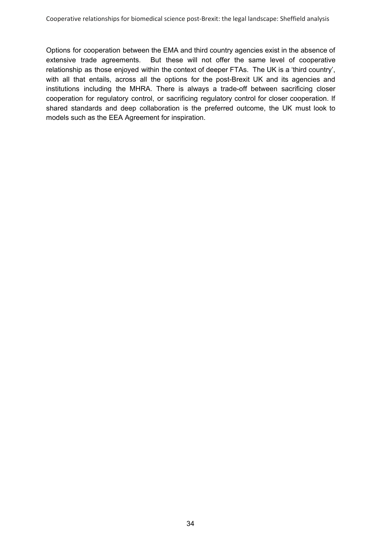Options for cooperation between the EMA and third country agencies exist in the absence of extensive trade agreements. But these will not offer the same level of cooperative relationship as those enjoyed within the context of deeper FTAs. The UK is a 'third country', with all that entails, across all the options for the post-Brexit UK and its agencies and institutions including the MHRA. There is always a trade-off between sacrificing closer cooperation for regulatory control, or sacrificing regulatory control for closer cooperation. If shared standards and deep collaboration is the preferred outcome, the UK must look to models such as the EEA Agreement for inspiration.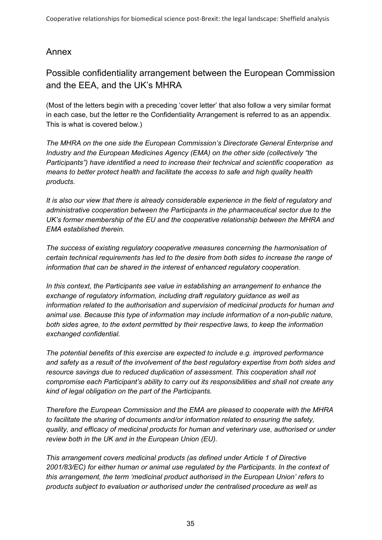# Annex

# Possible confidentiality arrangement between the European Commission and the EEA, and the UK's MHRA

(Most of the letters begin with a preceding 'cover letter' that also follow a very similar format in each case, but the letter re the Confidentiality Arrangement is referred to as an appendix. This is what is covered below.)

*The MHRA on the one side the European Commission's Directorate General Enterprise and Industry and the European Medicines Agency (EMA) on the other side (collectively "the Participants") have identified a need to increase their technical and scientific cooperation as means to better protect health and facilitate the access to safe and high quality health products.*

*It is also our view that there is already considerable experience in the field of regulatory and administrative cooperation between the Participants in the pharmaceutical sector due to the UK's former membership of the EU and the cooperative relationship between the MHRA and EMA established therein.*

*The success of existing regulatory cooperative measures concerning the harmonisation of certain technical requirements has led to the desire from both sides to increase the range of information that can be shared in the interest of enhanced regulatory cooperation.*

*In this context, the Participants see value in establishing an arrangement to enhance the exchange of regulatory information, including draft regulatory guidance as well as information related to the authorisation and supervision of medicinal products for human and animal use. Because this type of information may include information of a non-public nature, both sides agree, to the extent permitted by their respective laws, to keep the information exchanged confidential.*

*The potential benefits of this exercise are expected to include e.g. improved performance and safety as a result of the involvement of the best regulatory expertise from both sides and resource savings due to reduced duplication of assessment. This cooperation shall not compromise each Participant's ability to carry out its responsibilities and shall not create any kind of legal obligation on the part of the Participants.*

*Therefore the European Commission and the EMA are pleased to cooperate with the MHRA to facilitate the sharing of documents and/or information related to ensuring the safety, quality, and efficacy of medicinal products for human and veterinary use, authorised or under review both in the UK and in the European Union (EU).*

*This arrangement covers medicinal products (as defined under Article 1 of Directive 2001/83/EC) for either human or animal use regulated by the Participants. In the context of this arrangement, the term 'medicinal product authorised in the European Union' refers to products subject to evaluation or authorised under the centralised procedure as well as*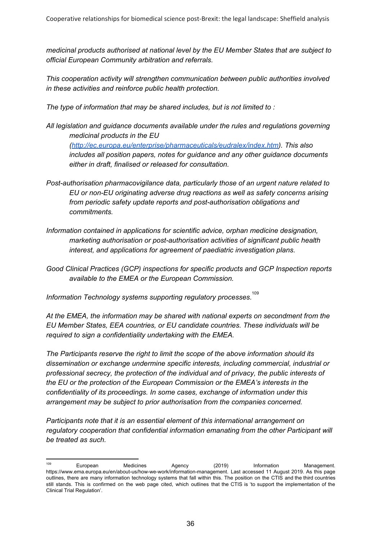*medicinal products authorised at national level by the EU Member States that are subject to official European Community arbitration and referrals.*

*This cooperation activity will strengthen communication between public authorities involved in these activities and reinforce public health protection.*

*The type of information that may be shared includes, but is not limited to :*

*All legislation and guidance documents available under the rules and regulations governing medicinal products in the EU*

*([http://ec.europa.eu/enterprise/pharmaceuticals/eudralex/index.htm\)](http://ec.europa.eu/enterprise/pharmaceuticals/eudralex/index.htm). This also includes all position papers, notes for guidance and any other guidance documents either in draft, finalised or released for consultation.*

- *Post-authorisation pharmacovigilance data, particularly those of an urgent nature related to EU or non-EU originating adverse drug reactions as well as safety concerns arising from periodic safety update reports and post-authorisation obligations and commitments.*
- *Information contained in applications for scientific advice, orphan medicine designation, marketing authorisation or post-authorisation activities of significant public health interest, and applications for agreement of paediatric investigation plans.*
- *Good Clinical Practices (GCP) inspections for specific products and GCP Inspection reports available to the EMEA or the European Commission.*

*Information Technology systems supporting regulatory processes.* 109

*At the EMEA, the information may be shared with national experts on secondment from the EU Member States, EEA countries, or EU candidate countries. These individuals will be required to sign a confidentiality undertaking with the EMEA.*

*The Participants reserve the right to limit the scope of the above information should its dissemination or exchange undermine specific interests, including commercial, industrial or professional secrecy, the protection of the individual and of privacy, the public interests of the EU or the protection of the European Commission or the EMEA's interests in the confidentiality of its proceedings. In some cases, exchange of information under this arrangement may be subject to prior authorisation from the companies concerned.*

*Participants note that it is an essential element of this international arrangement on regulatory cooperation that confidential information emanating from the other Participant will be treated as such.*

<sup>109</sup> European Medicines Agency (2019) Information Management. <https://www.ema.europa.eu/en/about-us/how-we-work/information-management>. Last accessed 11 August 2019. As this page outlines, there are many information technology systems that fall within this. The position on the CTIS and the third countries still stands. This is confirmed on the web page cited, which outlines that the CTIS is 'to support the implementation of the Clinical Trial Regulation'.